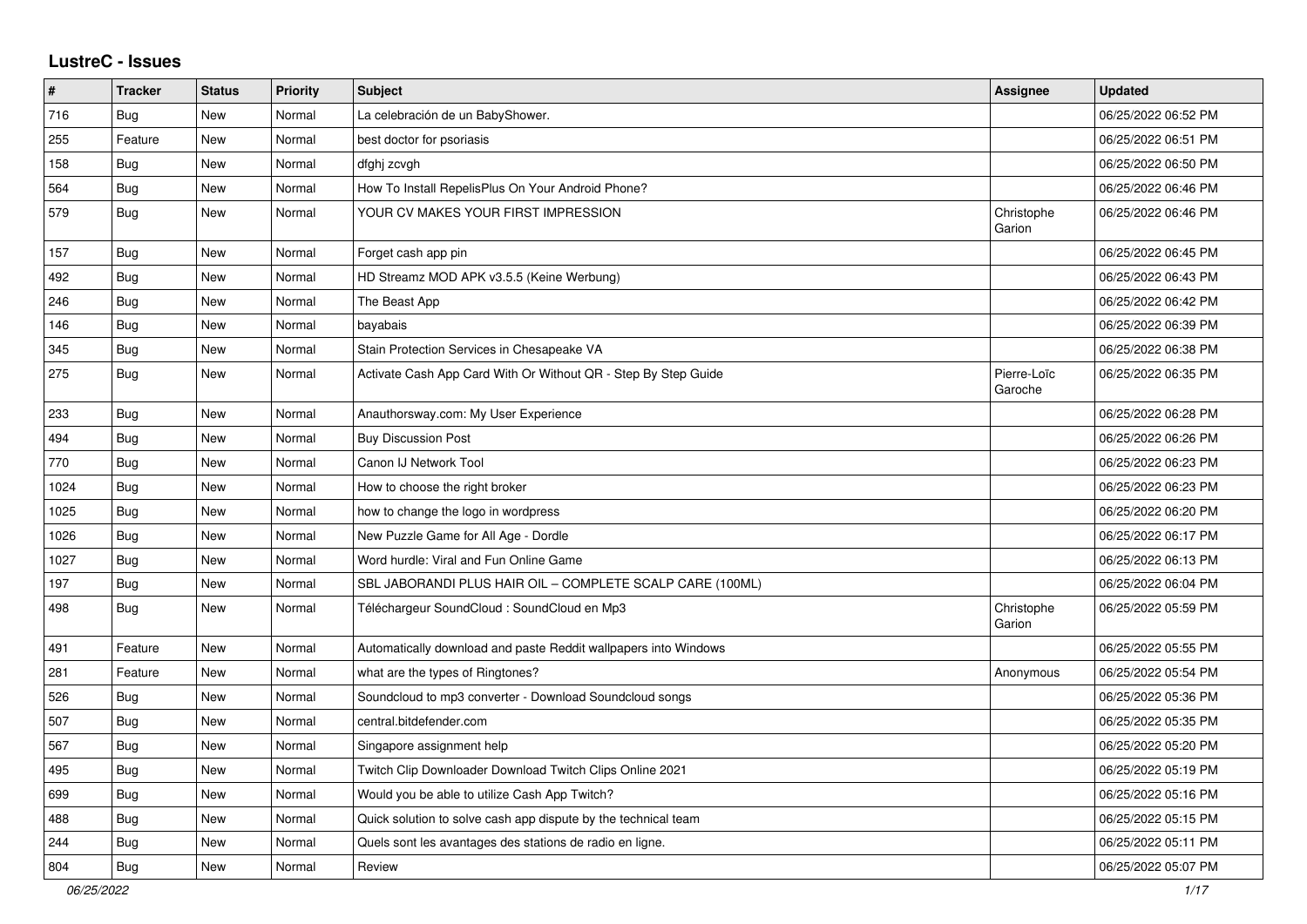## **LustreC - Issues**

| $\#$ | <b>Tracker</b> | <b>Status</b> | Priority | <b>Subject</b>                                                  | <b>Assignee</b>        | <b>Updated</b>      |
|------|----------------|---------------|----------|-----------------------------------------------------------------|------------------------|---------------------|
| 716  | Bug            | <b>New</b>    | Normal   | La celebración de un BabyShower.                                |                        | 06/25/2022 06:52 PM |
| 255  | Feature        | <b>New</b>    | Normal   | best doctor for psoriasis                                       |                        | 06/25/2022 06:51 PM |
| 158  | Bug            | New           | Normal   | dfghj zcvgh                                                     |                        | 06/25/2022 06:50 PM |
| 564  | <b>Bug</b>     | New           | Normal   | How To Install RepelisPlus On Your Android Phone?               |                        | 06/25/2022 06:46 PM |
| 579  | <b>Bug</b>     | <b>New</b>    | Normal   | YOUR CV MAKES YOUR FIRST IMPRESSION                             | Christophe<br>Garion   | 06/25/2022 06:46 PM |
| 157  | <b>Bug</b>     | <b>New</b>    | Normal   | Forget cash app pin                                             |                        | 06/25/2022 06:45 PM |
| 492  | <b>Bug</b>     | <b>New</b>    | Normal   | HD Streamz MOD APK v3.5.5 (Keine Werbung)                       |                        | 06/25/2022 06:43 PM |
| 246  | <b>Bug</b>     | <b>New</b>    | Normal   | The Beast App                                                   |                        | 06/25/2022 06:42 PM |
| 146  | Bug            | <b>New</b>    | Normal   | bayabais                                                        |                        | 06/25/2022 06:39 PM |
| 345  | <b>Bug</b>     | <b>New</b>    | Normal   | Stain Protection Services in Chesapeake VA                      |                        | 06/25/2022 06:38 PM |
| 275  | <b>Bug</b>     | <b>New</b>    | Normal   | Activate Cash App Card With Or Without QR - Step By Step Guide  | Pierre-Loïc<br>Garoche | 06/25/2022 06:35 PM |
| 233  | Bug            | <b>New</b>    | Normal   | Anauthorsway.com: My User Experience                            |                        | 06/25/2022 06:28 PM |
| 494  | Bug            | <b>New</b>    | Normal   | <b>Buy Discussion Post</b>                                      |                        | 06/25/2022 06:26 PM |
| 770  | <b>Bug</b>     | <b>New</b>    | Normal   | Canon IJ Network Tool                                           |                        | 06/25/2022 06:23 PM |
| 1024 | <b>Bug</b>     | New           | Normal   | How to choose the right broker                                  |                        | 06/25/2022 06:23 PM |
| 1025 | <b>Bug</b>     | <b>New</b>    | Normal   | how to change the logo in wordpress                             |                        | 06/25/2022 06:20 PM |
| 1026 | <b>Bug</b>     | <b>New</b>    | Normal   | New Puzzle Game for All Age - Dordle                            |                        | 06/25/2022 06:17 PM |
| 1027 | <b>Bug</b>     | <b>New</b>    | Normal   | Word hurdle: Viral and Fun Online Game                          |                        | 06/25/2022 06:13 PM |
| 197  | Bug            | <b>New</b>    | Normal   | SBL JABORANDI PLUS HAIR OIL - COMPLETE SCALP CARE (100ML)       |                        | 06/25/2022 06:04 PM |
| 498  | <b>Bug</b>     | <b>New</b>    | Normal   | Téléchargeur SoundCloud : SoundCloud en Mp3                     | Christophe<br>Garion   | 06/25/2022 05:59 PM |
| 491  | Feature        | New           | Normal   | Automatically download and paste Reddit wallpapers into Windows |                        | 06/25/2022 05:55 PM |
| 281  | Feature        | <b>New</b>    | Normal   | what are the types of Ringtones?                                | Anonymous              | 06/25/2022 05:54 PM |
| 526  | <b>Bug</b>     | <b>New</b>    | Normal   | Soundcloud to mp3 converter - Download Soundcloud songs         |                        | 06/25/2022 05:36 PM |
| 507  | <b>Bug</b>     | <b>New</b>    | Normal   | central.bitdefender.com                                         |                        | 06/25/2022 05:35 PM |
| 567  | <b>Bug</b>     | <b>New</b>    | Normal   | Singapore assignment help                                       |                        | 06/25/2022 05:20 PM |
| 495  | Bug            | <b>New</b>    | Normal   | Twitch Clip Downloader Download Twitch Clips Online 2021        |                        | 06/25/2022 05:19 PM |
| 699  | <b>Bug</b>     | <b>New</b>    | Normal   | Would you be able to utilize Cash App Twitch?                   |                        | 06/25/2022 05:16 PM |
| 488  | Bug            | New           | Normal   | Quick solution to solve cash app dispute by the technical team  |                        | 06/25/2022 05:15 PM |
| 244  | <b>Bug</b>     | New           | Normal   | Quels sont les avantages des stations de radio en ligne.        |                        | 06/25/2022 05:11 PM |
| 804  | Bug            | New           | Normal   | Review                                                          |                        | 06/25/2022 05:07 PM |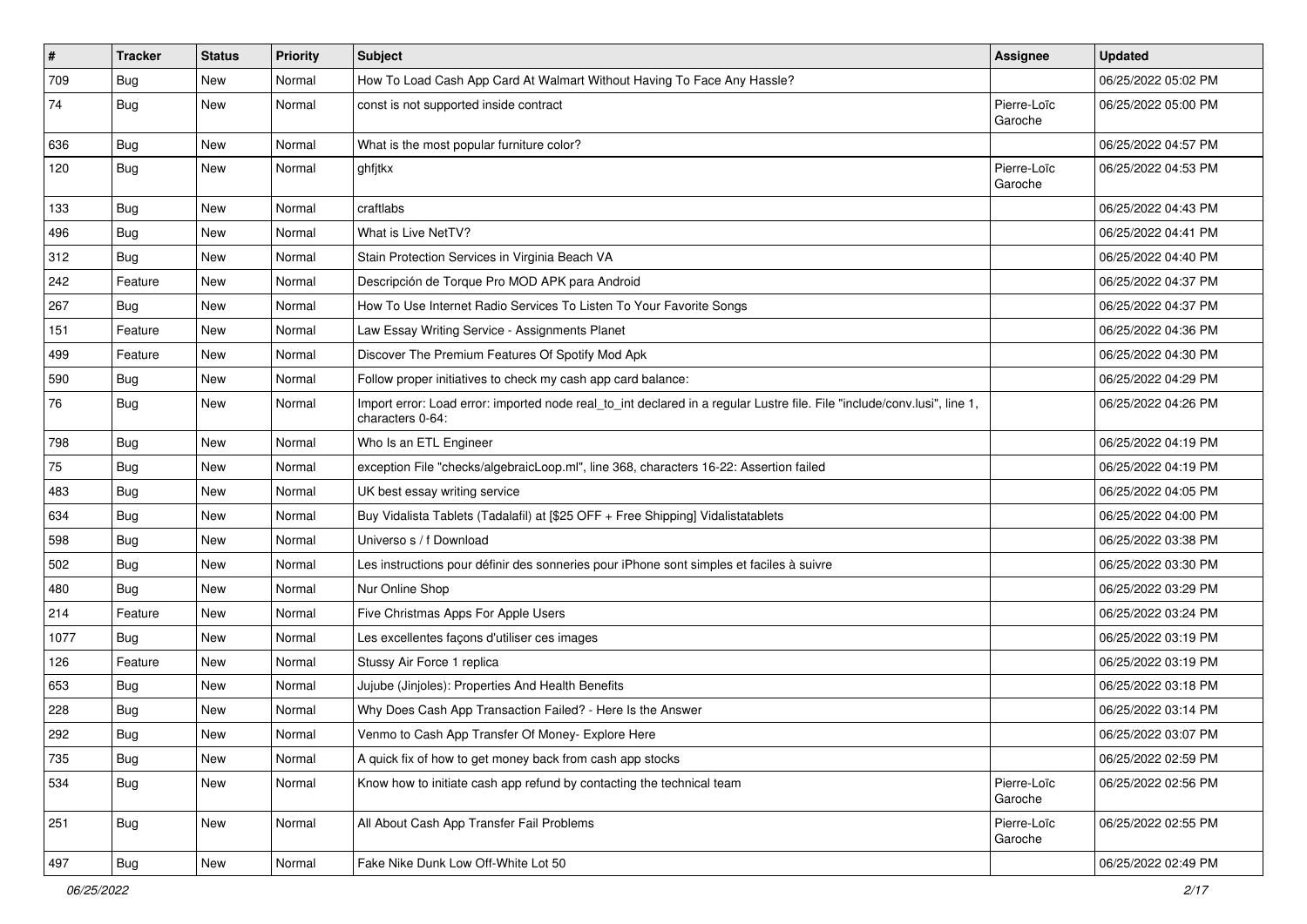| $\vert$ # | <b>Tracker</b> | <b>Status</b> | <b>Priority</b> | <b>Subject</b>                                                                                                                               | <b>Assignee</b>        | <b>Updated</b>      |
|-----------|----------------|---------------|-----------------|----------------------------------------------------------------------------------------------------------------------------------------------|------------------------|---------------------|
| 709       | <b>Bug</b>     | New           | Normal          | How To Load Cash App Card At Walmart Without Having To Face Any Hassle?                                                                      |                        | 06/25/2022 05:02 PM |
| 74        | <b>Bug</b>     | New           | Normal          | const is not supported inside contract                                                                                                       | Pierre-Loïc<br>Garoche | 06/25/2022 05:00 PM |
| 636       | <b>Bug</b>     | New           | Normal          | What is the most popular furniture color?                                                                                                    |                        | 06/25/2022 04:57 PM |
| 120       | Bug            | New           | Normal          | ghfitkx                                                                                                                                      | Pierre-Loïc<br>Garoche | 06/25/2022 04:53 PM |
| 133       | Bug            | New           | Normal          | craftlabs                                                                                                                                    |                        | 06/25/2022 04:43 PM |
| 496       | <b>Bug</b>     | New           | Normal          | What is Live NetTV?                                                                                                                          |                        | 06/25/2022 04:41 PM |
| 312       | Bug            | New           | Normal          | Stain Protection Services in Virginia Beach VA                                                                                               |                        | 06/25/2022 04:40 PM |
| 242       | Feature        | New           | Normal          | Descripción de Torque Pro MOD APK para Android                                                                                               |                        | 06/25/2022 04:37 PM |
| 267       | <b>Bug</b>     | New           | Normal          | How To Use Internet Radio Services To Listen To Your Favorite Songs                                                                          |                        | 06/25/2022 04:37 PM |
| 151       | Feature        | <b>New</b>    | Normal          | Law Essay Writing Service - Assignments Planet                                                                                               |                        | 06/25/2022 04:36 PM |
| 499       | Feature        | New           | Normal          | Discover The Premium Features Of Spotify Mod Apk                                                                                             |                        | 06/25/2022 04:30 PM |
| 590       | <b>Bug</b>     | New           | Normal          | Follow proper initiatives to check my cash app card balance:                                                                                 |                        | 06/25/2022 04:29 PM |
| 76        | <b>Bug</b>     | New           | Normal          | Import error: Load error: imported node real_to_int declared in a regular Lustre file. File "include/conv.lusi", line 1,<br>characters 0-64: |                        | 06/25/2022 04:26 PM |
| 798       | <b>Bug</b>     | New           | Normal          | Who Is an ETL Engineer                                                                                                                       |                        | 06/25/2022 04:19 PM |
| 75        | Bug            | New           | Normal          | exception File "checks/algebraicLoop.ml", line 368, characters 16-22: Assertion failed                                                       |                        | 06/25/2022 04:19 PM |
| 483       | Bug            | New           | Normal          | UK best essay writing service                                                                                                                |                        | 06/25/2022 04:05 PM |
| 634       | Bug            | New           | Normal          | Buy Vidalista Tablets (Tadalafil) at [\$25 OFF + Free Shipping] Vidalistatablets                                                             |                        | 06/25/2022 04:00 PM |
| 598       | Bug            | New           | Normal          | Universo s / f Download                                                                                                                      |                        | 06/25/2022 03:38 PM |
| 502       | <b>Bug</b>     | New           | Normal          | Les instructions pour définir des sonneries pour iPhone sont simples et faciles à suivre                                                     |                        | 06/25/2022 03:30 PM |
| 480       | <b>Bug</b>     | New           | Normal          | Nur Online Shop                                                                                                                              |                        | 06/25/2022 03:29 PM |
| 214       | Feature        | New           | Normal          | Five Christmas Apps For Apple Users                                                                                                          |                        | 06/25/2022 03:24 PM |
| 1077      | <b>Bug</b>     | New           | Normal          | Les excellentes façons d'utiliser ces images                                                                                                 |                        | 06/25/2022 03:19 PM |
| 126       | Feature        | New           | Normal          | Stussy Air Force 1 replica                                                                                                                   |                        | 06/25/2022 03:19 PM |
| 653       | Bug            | New           | Normal          | Jujube (Jinjoles): Properties And Health Benefits                                                                                            |                        | 06/25/2022 03:18 PM |
| 228       | <b>Bug</b>     | New           | Normal          | Why Does Cash App Transaction Failed? - Here Is the Answer                                                                                   |                        | 06/25/2022 03:14 PM |
| 292       | Bug            | New           | Normal          | Venmo to Cash App Transfer Of Money- Explore Here                                                                                            |                        | 06/25/2022 03:07 PM |
| 735       | <b>Bug</b>     | New           | Normal          | A quick fix of how to get money back from cash app stocks                                                                                    |                        | 06/25/2022 02:59 PM |
| 534       | <b>Bug</b>     | New           | Normal          | Know how to initiate cash app refund by contacting the technical team                                                                        | Pierre-Loïc<br>Garoche | 06/25/2022 02:56 PM |
| 251       | <b>Bug</b>     | New           | Normal          | All About Cash App Transfer Fail Problems                                                                                                    | Pierre-Loïc<br>Garoche | 06/25/2022 02:55 PM |
| 497       | <b>Bug</b>     | New           | Normal          | Fake Nike Dunk Low Off-White Lot 50                                                                                                          |                        | 06/25/2022 02:49 PM |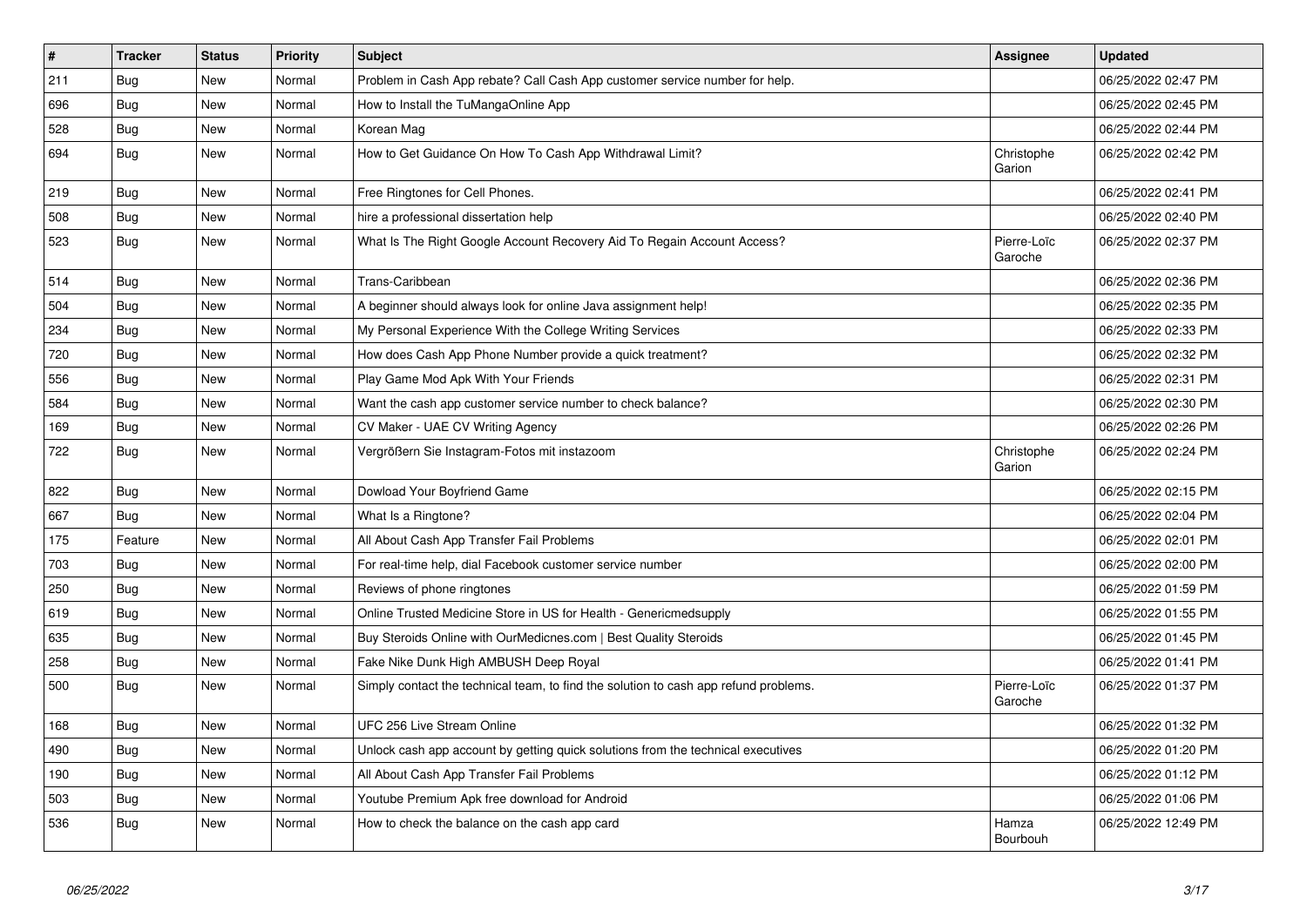| $\sharp$ | <b>Tracker</b> | <b>Status</b> | <b>Priority</b> | <b>Subject</b>                                                                       | <b>Assignee</b>        | <b>Updated</b>      |
|----------|----------------|---------------|-----------------|--------------------------------------------------------------------------------------|------------------------|---------------------|
| 211      | <b>Bug</b>     | <b>New</b>    | Normal          | Problem in Cash App rebate? Call Cash App customer service number for help.          |                        | 06/25/2022 02:47 PM |
| 696      | Bug            | New           | Normal          | How to Install the TuMangaOnline App                                                 |                        | 06/25/2022 02:45 PM |
| 528      | Bug            | New           | Normal          | Korean Mag                                                                           |                        | 06/25/2022 02:44 PM |
| 694      | <b>Bug</b>     | New           | Normal          | How to Get Guidance On How To Cash App Withdrawal Limit?                             | Christophe<br>Garion   | 06/25/2022 02:42 PM |
| 219      | <b>Bug</b>     | <b>New</b>    | Normal          | Free Ringtones for Cell Phones.                                                      |                        | 06/25/2022 02:41 PM |
| 508      | <b>Bug</b>     | <b>New</b>    | Normal          | hire a professional dissertation help                                                |                        | 06/25/2022 02:40 PM |
| 523      | Bug            | <b>New</b>    | Normal          | What Is The Right Google Account Recovery Aid To Regain Account Access?              | Pierre-Loïc<br>Garoche | 06/25/2022 02:37 PM |
| 514      | <b>Bug</b>     | <b>New</b>    | Normal          | Trans-Caribbean                                                                      |                        | 06/25/2022 02:36 PM |
| 504      | Bug            | <b>New</b>    | Normal          | A beginner should always look for online Java assignment help!                       |                        | 06/25/2022 02:35 PM |
| 234      | <b>Bug</b>     | New           | Normal          | My Personal Experience With the College Writing Services                             |                        | 06/25/2022 02:33 PM |
| 720      | Bug            | New           | Normal          | How does Cash App Phone Number provide a quick treatment?                            |                        | 06/25/2022 02:32 PM |
| 556      | Bug            | <b>New</b>    | Normal          | Play Game Mod Apk With Your Friends                                                  |                        | 06/25/2022 02:31 PM |
| 584      | Bug            | <b>New</b>    | Normal          | Want the cash app customer service number to check balance?                          |                        | 06/25/2022 02:30 PM |
| 169      | Bug            | New           | Normal          | CV Maker - UAE CV Writing Agency                                                     |                        | 06/25/2022 02:26 PM |
| 722      | <b>Bug</b>     | <b>New</b>    | Normal          | Vergrößern Sie Instagram-Fotos mit instazoom                                         | Christophe<br>Garion   | 06/25/2022 02:24 PM |
| 822      | Bug            | New           | Normal          | Dowload Your Boyfriend Game                                                          |                        | 06/25/2022 02:15 PM |
| 667      | Bug            | New           | Normal          | What Is a Ringtone?                                                                  |                        | 06/25/2022 02:04 PM |
| 175      | Feature        | New           | Normal          | All About Cash App Transfer Fail Problems                                            |                        | 06/25/2022 02:01 PM |
| 703      | Bug            | New           | Normal          | For real-time help, dial Facebook customer service number                            |                        | 06/25/2022 02:00 PM |
| 250      | <b>Bug</b>     | New           | Normal          | Reviews of phone ringtones                                                           |                        | 06/25/2022 01:59 PM |
| 619      | Bug            | <b>New</b>    | Normal          | Online Trusted Medicine Store in US for Health - Genericmedsupply                    |                        | 06/25/2022 01:55 PM |
| 635      | Bug            | <b>New</b>    | Normal          | Buy Steroids Online with OurMedicnes.com   Best Quality Steroids                     |                        | 06/25/2022 01:45 PM |
| 258      | Bug            | New           | Normal          | Fake Nike Dunk High AMBUSH Deep Royal                                                |                        | 06/25/2022 01:41 PM |
| 500      | <b>Bug</b>     | <b>New</b>    | Normal          | Simply contact the technical team, to find the solution to cash app refund problems. | Pierre-Loïc<br>Garoche | 06/25/2022 01:37 PM |
| 168      | Bug            | New           | Normal          | UFC 256 Live Stream Online                                                           |                        | 06/25/2022 01:32 PM |
| 490      | <b>Bug</b>     | New           | Normal          | Unlock cash app account by getting quick solutions from the technical executives     |                        | 06/25/2022 01:20 PM |
| 190      | Bug            | New           | Normal          | All About Cash App Transfer Fail Problems                                            |                        | 06/25/2022 01:12 PM |
| 503      | Bug            | New           | Normal          | Youtube Premium Apk free download for Android                                        |                        | 06/25/2022 01:06 PM |
| 536      | Bug            | New           | Normal          | How to check the balance on the cash app card                                        | Hamza<br>Bourbouh      | 06/25/2022 12:49 PM |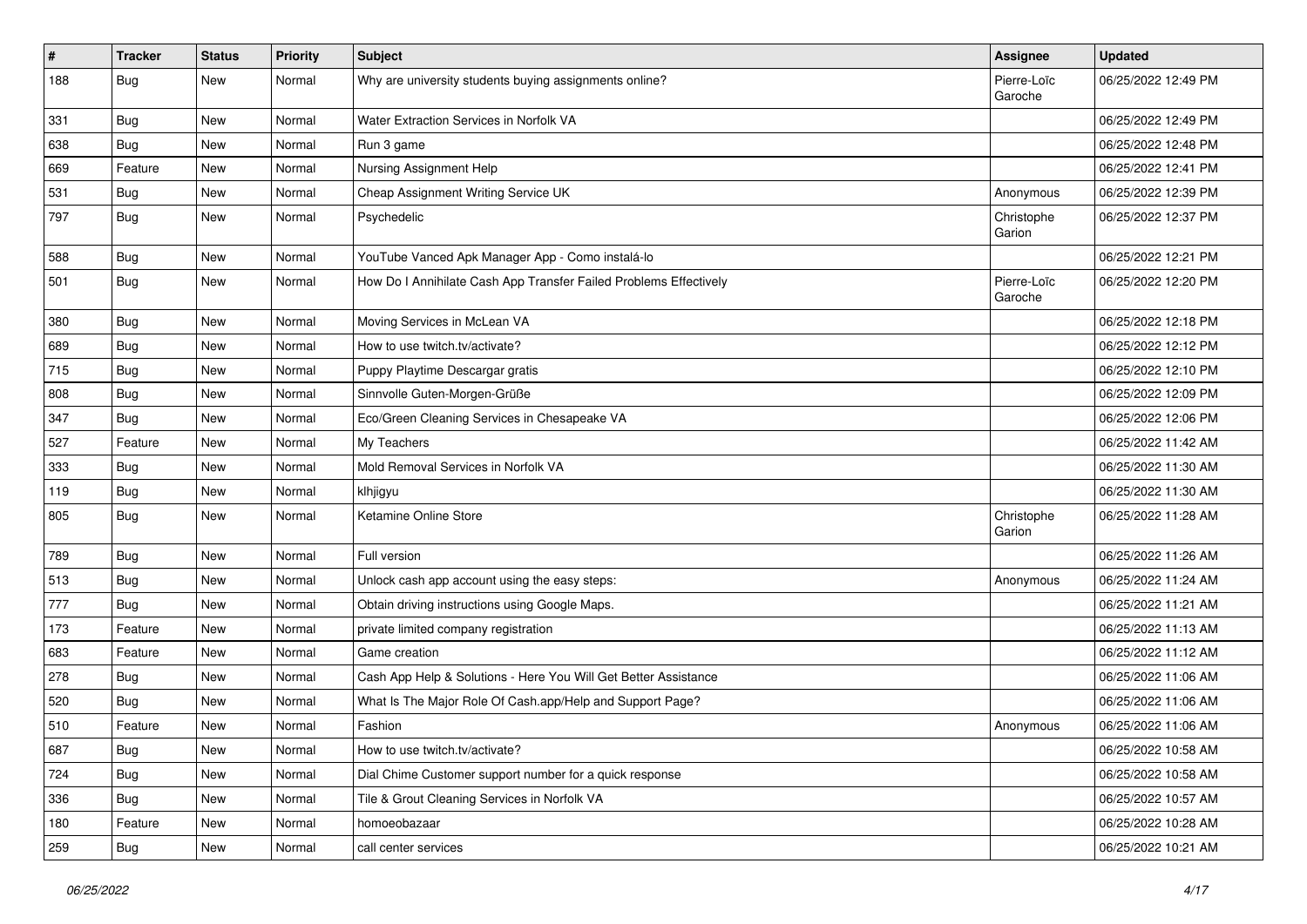| #   | <b>Tracker</b> | <b>Status</b> | <b>Priority</b> | <b>Subject</b>                                                    | Assignee               | <b>Updated</b>      |
|-----|----------------|---------------|-----------------|-------------------------------------------------------------------|------------------------|---------------------|
| 188 | <b>Bug</b>     | New           | Normal          | Why are university students buying assignments online?            | Pierre-Loïc<br>Garoche | 06/25/2022 12:49 PM |
| 331 | <b>Bug</b>     | New           | Normal          | Water Extraction Services in Norfolk VA                           |                        | 06/25/2022 12:49 PM |
| 638 | <b>Bug</b>     | New           | Normal          | Run 3 game                                                        |                        | 06/25/2022 12:48 PM |
| 669 | Feature        | New           | Normal          | Nursing Assignment Help                                           |                        | 06/25/2022 12:41 PM |
| 531 | Bug            | New           | Normal          | Cheap Assignment Writing Service UK                               | Anonymous              | 06/25/2022 12:39 PM |
| 797 | <b>Bug</b>     | New           | Normal          | Psychedelic                                                       | Christophe<br>Garion   | 06/25/2022 12:37 PM |
| 588 | <b>Bug</b>     | New           | Normal          | YouTube Vanced Apk Manager App - Como instalá-lo                  |                        | 06/25/2022 12:21 PM |
| 501 | Bug            | New           | Normal          | How Do I Annihilate Cash App Transfer Failed Problems Effectively | Pierre-Loïc<br>Garoche | 06/25/2022 12:20 PM |
| 380 | Bug            | New           | Normal          | Moving Services in McLean VA                                      |                        | 06/25/2022 12:18 PM |
| 689 | Bug            | New           | Normal          | How to use twitch.tv/activate?                                    |                        | 06/25/2022 12:12 PM |
| 715 | <b>Bug</b>     | New           | Normal          | Puppy Playtime Descargar gratis                                   |                        | 06/25/2022 12:10 PM |
| 808 | Bug            | New           | Normal          | Sinnvolle Guten-Morgen-Grüße                                      |                        | 06/25/2022 12:09 PM |
| 347 | <b>Bug</b>     | New           | Normal          | Eco/Green Cleaning Services in Chesapeake VA                      |                        | 06/25/2022 12:06 PM |
| 527 | Feature        | New           | Normal          | My Teachers                                                       |                        | 06/25/2022 11:42 AM |
| 333 | <b>Bug</b>     | New           | Normal          | Mold Removal Services in Norfolk VA                               |                        | 06/25/2022 11:30 AM |
| 119 | Bug            | New           | Normal          | klhjigyu                                                          |                        | 06/25/2022 11:30 AM |
| 805 | Bug            | New           | Normal          | Ketamine Online Store                                             | Christophe<br>Garion   | 06/25/2022 11:28 AM |
| 789 | Bug            | New           | Normal          | Full version                                                      |                        | 06/25/2022 11:26 AM |
| 513 | <b>Bug</b>     | New           | Normal          | Unlock cash app account using the easy steps:                     | Anonymous              | 06/25/2022 11:24 AM |
| 777 | <b>Bug</b>     | New           | Normal          | Obtain driving instructions using Google Maps.                    |                        | 06/25/2022 11:21 AM |
| 173 | Feature        | New           | Normal          | private limited company registration                              |                        | 06/25/2022 11:13 AM |
| 683 | Feature        | New           | Normal          | Game creation                                                     |                        | 06/25/2022 11:12 AM |
| 278 | Bug            | New           | Normal          | Cash App Help & Solutions - Here You Will Get Better Assistance   |                        | 06/25/2022 11:06 AM |
| 520 | <b>Bug</b>     | New           | Normal          | What Is The Major Role Of Cash.app/Help and Support Page?         |                        | 06/25/2022 11:06 AM |
| 510 | Feature        | New           | Normal          | Fashion                                                           | Anonymous              | 06/25/2022 11:06 AM |
| 687 | Bug            | New           | Normal          | How to use twitch.tv/activate?                                    |                        | 06/25/2022 10:58 AM |
| 724 | <b>Bug</b>     | New           | Normal          | Dial Chime Customer support number for a quick response           |                        | 06/25/2022 10:58 AM |
| 336 | Bug            | New           | Normal          | Tile & Grout Cleaning Services in Norfolk VA                      |                        | 06/25/2022 10:57 AM |
| 180 | Feature        | New           | Normal          | homoeobazaar                                                      |                        | 06/25/2022 10:28 AM |
| 259 | <b>Bug</b>     | New           | Normal          | call center services                                              |                        | 06/25/2022 10:21 AM |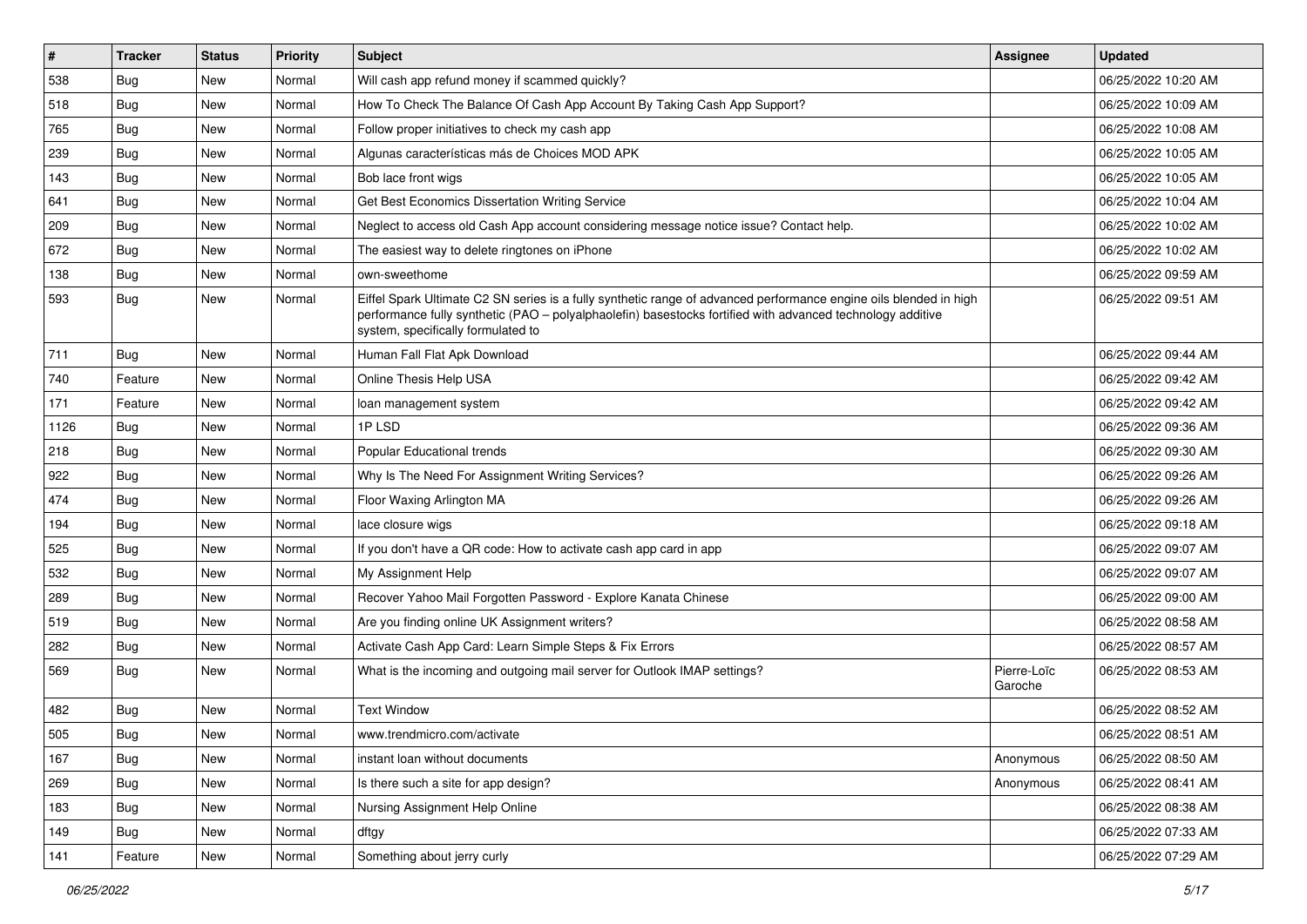| $\vert$ # | <b>Tracker</b> | <b>Status</b> | <b>Priority</b> | <b>Subject</b>                                                                                                                                                                                                                                                        | <b>Assignee</b>        | <b>Updated</b>      |
|-----------|----------------|---------------|-----------------|-----------------------------------------------------------------------------------------------------------------------------------------------------------------------------------------------------------------------------------------------------------------------|------------------------|---------------------|
| 538       | <b>Bug</b>     | New           | Normal          | Will cash app refund money if scammed quickly?                                                                                                                                                                                                                        |                        | 06/25/2022 10:20 AM |
| 518       | <b>Bug</b>     | New           | Normal          | How To Check The Balance Of Cash App Account By Taking Cash App Support?                                                                                                                                                                                              |                        | 06/25/2022 10:09 AM |
| 765       | <b>Bug</b>     | New           | Normal          | Follow proper initiatives to check my cash app                                                                                                                                                                                                                        |                        | 06/25/2022 10:08 AM |
| 239       | <b>Bug</b>     | New           | Normal          | Algunas características más de Choices MOD APK                                                                                                                                                                                                                        |                        | 06/25/2022 10:05 AM |
| 143       | <b>Bug</b>     | New           | Normal          | Bob lace front wigs                                                                                                                                                                                                                                                   |                        | 06/25/2022 10:05 AM |
| 641       | Bug            | New           | Normal          | Get Best Economics Dissertation Writing Service                                                                                                                                                                                                                       |                        | 06/25/2022 10:04 AM |
| 209       | <b>Bug</b>     | New           | Normal          | Neglect to access old Cash App account considering message notice issue? Contact help.                                                                                                                                                                                |                        | 06/25/2022 10:02 AM |
| 672       | Bug            | New           | Normal          | The easiest way to delete ringtones on iPhone                                                                                                                                                                                                                         |                        | 06/25/2022 10:02 AM |
| 138       | Bug            | New           | Normal          | own-sweethome                                                                                                                                                                                                                                                         |                        | 06/25/2022 09:59 AM |
| 593       | <b>Bug</b>     | New           | Normal          | Eiffel Spark Ultimate C2 SN series is a fully synthetic range of advanced performance engine oils blended in high<br>performance fully synthetic (PAO - polyalphaolefin) basestocks fortified with advanced technology additive<br>system, specifically formulated to |                        | 06/25/2022 09:51 AM |
| 711       | Bug            | New           | Normal          | Human Fall Flat Apk Download                                                                                                                                                                                                                                          |                        | 06/25/2022 09:44 AM |
| 740       | Feature        | New           | Normal          | Online Thesis Help USA                                                                                                                                                                                                                                                |                        | 06/25/2022 09:42 AM |
| 171       | Feature        | New           | Normal          | loan management system                                                                                                                                                                                                                                                |                        | 06/25/2022 09:42 AM |
| 1126      | Bug            | New           | Normal          | 1PLSD                                                                                                                                                                                                                                                                 |                        | 06/25/2022 09:36 AM |
| 218       | <b>Bug</b>     | New           | Normal          | Popular Educational trends                                                                                                                                                                                                                                            |                        | 06/25/2022 09:30 AM |
| 922       | Bug            | New           | Normal          | Why Is The Need For Assignment Writing Services?                                                                                                                                                                                                                      |                        | 06/25/2022 09:26 AM |
| 474       | <b>Bug</b>     | New           | Normal          | Floor Waxing Arlington MA                                                                                                                                                                                                                                             |                        | 06/25/2022 09:26 AM |
| 194       | Bug            | New           | Normal          | lace closure wigs                                                                                                                                                                                                                                                     |                        | 06/25/2022 09:18 AM |
| 525       | Bug            | <b>New</b>    | Normal          | If you don't have a QR code: How to activate cash app card in app                                                                                                                                                                                                     |                        | 06/25/2022 09:07 AM |
| 532       | Bug            | New           | Normal          | My Assignment Help                                                                                                                                                                                                                                                    |                        | 06/25/2022 09:07 AM |
| 289       | <b>Bug</b>     | New           | Normal          | Recover Yahoo Mail Forgotten Password - Explore Kanata Chinese                                                                                                                                                                                                        |                        | 06/25/2022 09:00 AM |
| 519       | <b>Bug</b>     | New           | Normal          | Are you finding online UK Assignment writers?                                                                                                                                                                                                                         |                        | 06/25/2022 08:58 AM |
| 282       | <b>Bug</b>     | New           | Normal          | Activate Cash App Card: Learn Simple Steps & Fix Errors                                                                                                                                                                                                               |                        | 06/25/2022 08:57 AM |
| 569       | Bug            | New           | Normal          | What is the incoming and outgoing mail server for Outlook IMAP settings?                                                                                                                                                                                              | Pierre-Loïc<br>Garoche | 06/25/2022 08:53 AM |
| 482       | Bug            | New           | Normal          | <b>Text Window</b>                                                                                                                                                                                                                                                    |                        | 06/25/2022 08:52 AM |
| 505       | <b>Bug</b>     | New           | Normal          | www.trendmicro.com/activate                                                                                                                                                                                                                                           |                        | 06/25/2022 08:51 AM |
| 167       | <b>Bug</b>     | New           | Normal          | instant loan without documents                                                                                                                                                                                                                                        | Anonymous              | 06/25/2022 08:50 AM |
| 269       | <b>Bug</b>     | New           | Normal          | Is there such a site for app design?                                                                                                                                                                                                                                  | Anonymous              | 06/25/2022 08:41 AM |
| 183       | Bug            | New           | Normal          | Nursing Assignment Help Online                                                                                                                                                                                                                                        |                        | 06/25/2022 08:38 AM |
| 149       | <b>Bug</b>     | New           | Normal          | dftgy                                                                                                                                                                                                                                                                 |                        | 06/25/2022 07:33 AM |
| 141       | Feature        | New           | Normal          | Something about jerry curly                                                                                                                                                                                                                                           |                        | 06/25/2022 07:29 AM |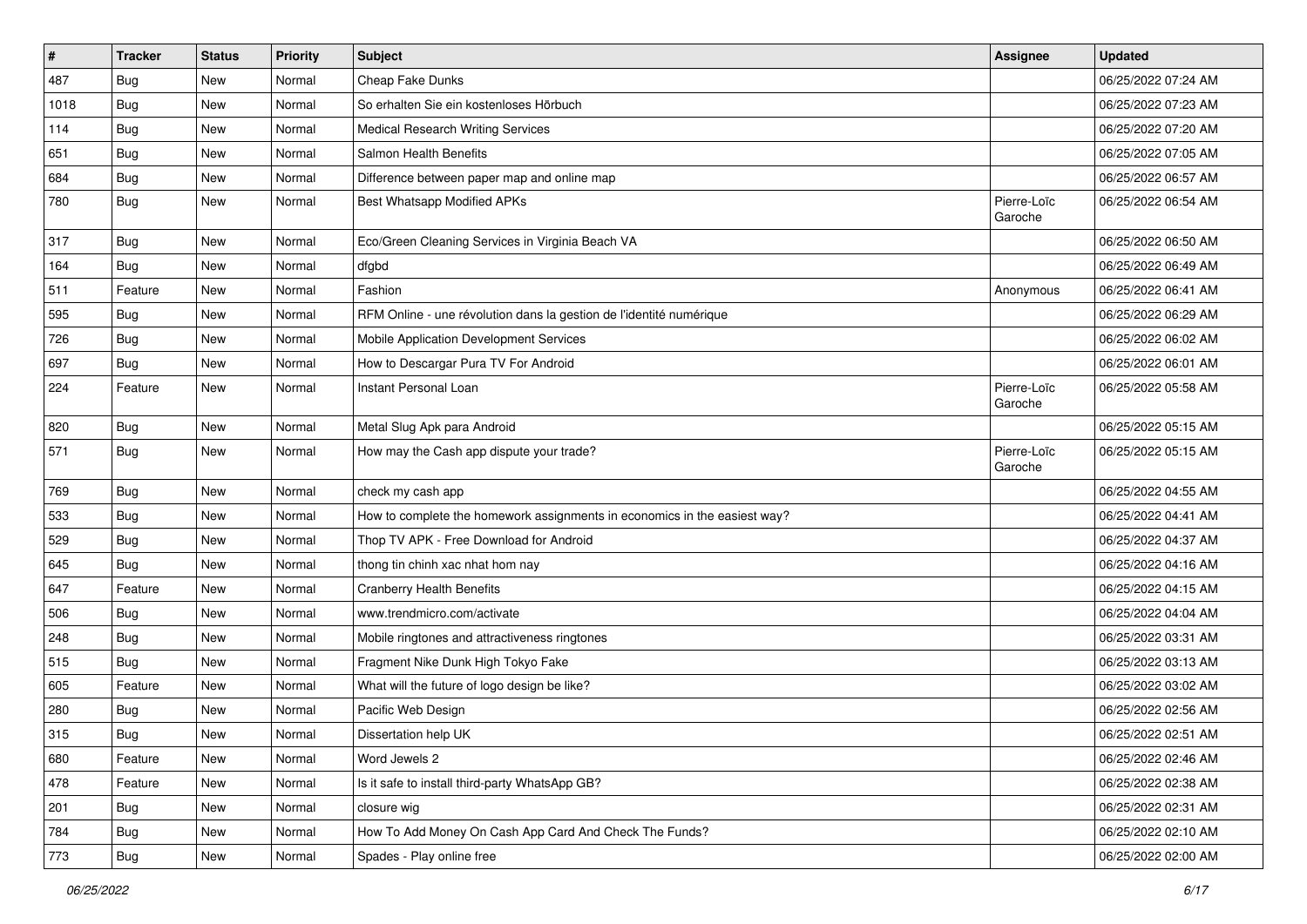| $\pmb{\#}$ | <b>Tracker</b> | <b>Status</b> | <b>Priority</b> | Subject                                                                   | <b>Assignee</b>        | <b>Updated</b>      |
|------------|----------------|---------------|-----------------|---------------------------------------------------------------------------|------------------------|---------------------|
| 487        | <b>Bug</b>     | New           | Normal          | Cheap Fake Dunks                                                          |                        | 06/25/2022 07:24 AM |
| 1018       | <b>Bug</b>     | New           | Normal          | So erhalten Sie ein kostenloses Hörbuch                                   |                        | 06/25/2022 07:23 AM |
| 114        | <b>Bug</b>     | New           | Normal          | <b>Medical Research Writing Services</b>                                  |                        | 06/25/2022 07:20 AM |
| 651        | Bug            | New           | Normal          | Salmon Health Benefits                                                    |                        | 06/25/2022 07:05 AM |
| 684        | <b>Bug</b>     | New           | Normal          | Difference between paper map and online map                               |                        | 06/25/2022 06:57 AM |
| 780        | Bug            | New           | Normal          | Best Whatsapp Modified APKs                                               | Pierre-Loïc<br>Garoche | 06/25/2022 06:54 AM |
| 317        | Bug            | New           | Normal          | Eco/Green Cleaning Services in Virginia Beach VA                          |                        | 06/25/2022 06:50 AM |
| 164        | <b>Bug</b>     | New           | Normal          | dfgbd                                                                     |                        | 06/25/2022 06:49 AM |
| 511        | Feature        | New           | Normal          | Fashion                                                                   | Anonymous              | 06/25/2022 06:41 AM |
| 595        | <b>Bug</b>     | New           | Normal          | RFM Online - une révolution dans la gestion de l'identité numérique       |                        | 06/25/2022 06:29 AM |
| 726        | Bug            | New           | Normal          | Mobile Application Development Services                                   |                        | 06/25/2022 06:02 AM |
| 697        | <b>Bug</b>     | New           | Normal          | How to Descargar Pura TV For Android                                      |                        | 06/25/2022 06:01 AM |
| 224        | Feature        | New           | Normal          | Instant Personal Loan                                                     | Pierre-Loïc<br>Garoche | 06/25/2022 05:58 AM |
| 820        | Bug            | New           | Normal          | Metal Slug Apk para Android                                               |                        | 06/25/2022 05:15 AM |
| 571        | <b>Bug</b>     | New           | Normal          | How may the Cash app dispute your trade?                                  | Pierre-Loïc<br>Garoche | 06/25/2022 05:15 AM |
| 769        | <b>Bug</b>     | New           | Normal          | check my cash app                                                         |                        | 06/25/2022 04:55 AM |
| 533        | Bug            | New           | Normal          | How to complete the homework assignments in economics in the easiest way? |                        | 06/25/2022 04:41 AM |
| 529        | Bug            | New           | Normal          | Thop TV APK - Free Download for Android                                   |                        | 06/25/2022 04:37 AM |
| 645        | <b>Bug</b>     | New           | Normal          | thong tin chinh xac nhat hom nay                                          |                        | 06/25/2022 04:16 AM |
| 647        | Feature        | New           | Normal          | <b>Cranberry Health Benefits</b>                                          |                        | 06/25/2022 04:15 AM |
| 506        | <b>Bug</b>     | New           | Normal          | www.trendmicro.com/activate                                               |                        | 06/25/2022 04:04 AM |
| 248        | <b>Bug</b>     | New           | Normal          | Mobile ringtones and attractiveness ringtones                             |                        | 06/25/2022 03:31 AM |
| 515        | <b>Bug</b>     | New           | Normal          | Fragment Nike Dunk High Tokyo Fake                                        |                        | 06/25/2022 03:13 AM |
| 605        | Feature        | New           | Normal          | What will the future of logo design be like?                              |                        | 06/25/2022 03:02 AM |
| 280        | <b>Bug</b>     | New           | Normal          | Pacific Web Design                                                        |                        | 06/25/2022 02:56 AM |
| 315        | Bug            | New           | Normal          | Dissertation help UK                                                      |                        | 06/25/2022 02:51 AM |
| 680        | Feature        | New           | Normal          | Word Jewels 2                                                             |                        | 06/25/2022 02:46 AM |
| 478        | Feature        | New           | Normal          | Is it safe to install third-party WhatsApp GB?                            |                        | 06/25/2022 02:38 AM |
| 201        | <b>Bug</b>     | New           | Normal          | closure wig                                                               |                        | 06/25/2022 02:31 AM |
| 784        | <b>Bug</b>     | New           | Normal          | How To Add Money On Cash App Card And Check The Funds?                    |                        | 06/25/2022 02:10 AM |
| 773        | <b>Bug</b>     | New           | Normal          | Spades - Play online free                                                 |                        | 06/25/2022 02:00 AM |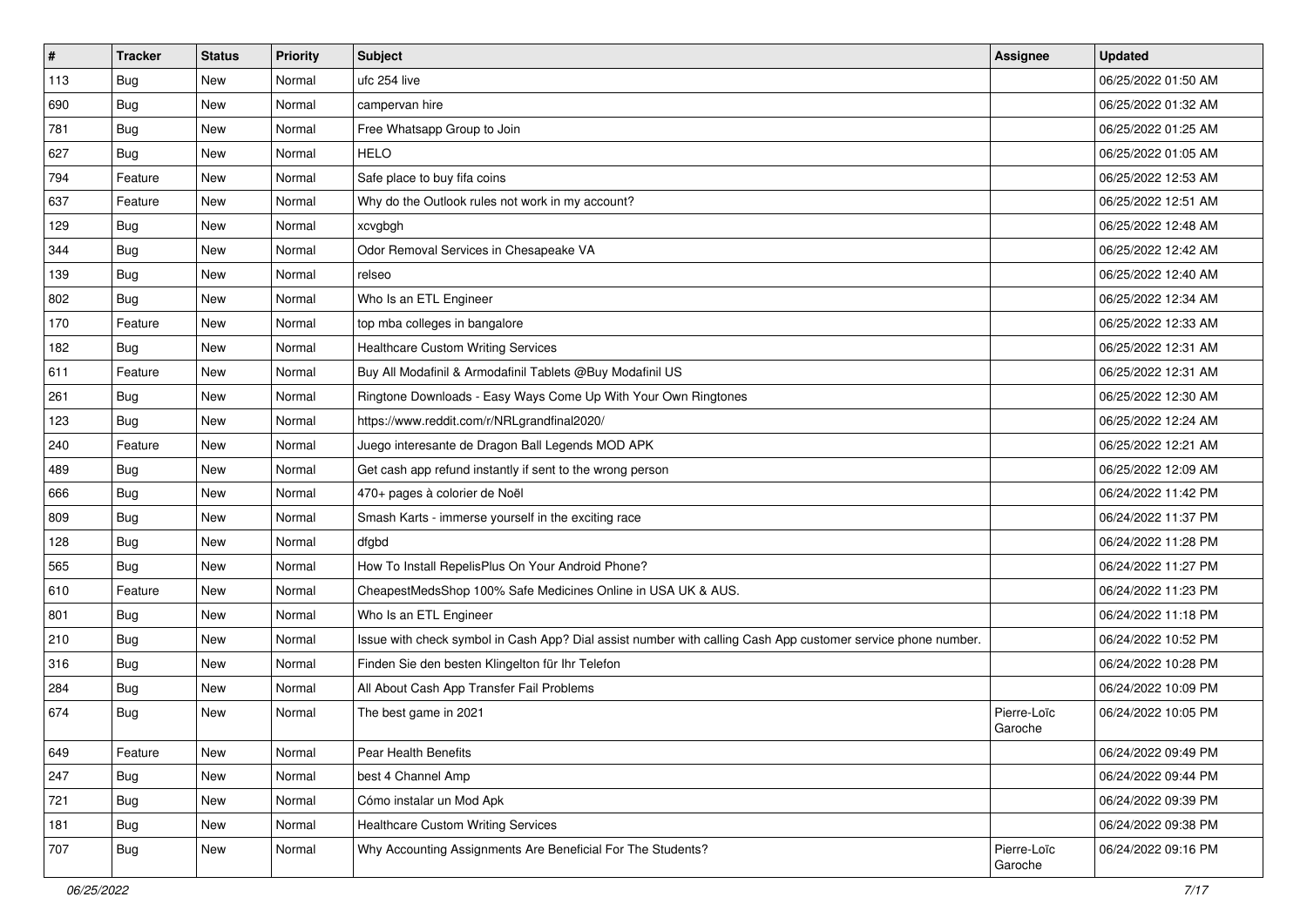| $\vert$ # | <b>Tracker</b> | <b>Status</b> | <b>Priority</b> | Subject                                                                                                      | <b>Assignee</b>        | <b>Updated</b>      |
|-----------|----------------|---------------|-----------------|--------------------------------------------------------------------------------------------------------------|------------------------|---------------------|
| 113       | <b>Bug</b>     | New           | Normal          | ufc 254 live                                                                                                 |                        | 06/25/2022 01:50 AM |
| 690       | Bug            | New           | Normal          | campervan hire                                                                                               |                        | 06/25/2022 01:32 AM |
| 781       | Bug            | New           | Normal          | Free Whatsapp Group to Join                                                                                  |                        | 06/25/2022 01:25 AM |
| 627       | <b>Bug</b>     | New           | Normal          | <b>HELO</b>                                                                                                  |                        | 06/25/2022 01:05 AM |
| 794       | Feature        | New           | Normal          | Safe place to buy fifa coins                                                                                 |                        | 06/25/2022 12:53 AM |
| 637       | Feature        | New           | Normal          | Why do the Outlook rules not work in my account?                                                             |                        | 06/25/2022 12:51 AM |
| 129       | <b>Bug</b>     | New           | Normal          | xcvgbgh                                                                                                      |                        | 06/25/2022 12:48 AM |
| 344       | Bug            | New           | Normal          | Odor Removal Services in Chesapeake VA                                                                       |                        | 06/25/2022 12:42 AM |
| 139       | <b>Bug</b>     | New           | Normal          | relseo                                                                                                       |                        | 06/25/2022 12:40 AM |
| 802       | <b>Bug</b>     | New           | Normal          | Who Is an ETL Engineer                                                                                       |                        | 06/25/2022 12:34 AM |
| 170       | Feature        | New           | Normal          | top mba colleges in bangalore                                                                                |                        | 06/25/2022 12:33 AM |
| 182       | <b>Bug</b>     | New           | Normal          | <b>Healthcare Custom Writing Services</b>                                                                    |                        | 06/25/2022 12:31 AM |
| 611       | Feature        | <b>New</b>    | Normal          | Buy All Modafinil & Armodafinil Tablets @Buy Modafinil US                                                    |                        | 06/25/2022 12:31 AM |
| 261       | <b>Bug</b>     | New           | Normal          | Ringtone Downloads - Easy Ways Come Up With Your Own Ringtones                                               |                        | 06/25/2022 12:30 AM |
| 123       | <b>Bug</b>     | New           | Normal          | https://www.reddit.com/r/NRLgrandfinal2020/                                                                  |                        | 06/25/2022 12:24 AM |
| 240       | Feature        | New           | Normal          | Juego interesante de Dragon Ball Legends MOD APK                                                             |                        | 06/25/2022 12:21 AM |
| 489       | <b>Bug</b>     | New           | Normal          | Get cash app refund instantly if sent to the wrong person                                                    |                        | 06/25/2022 12:09 AM |
| 666       | Bug            | New           | Normal          | 470+ pages à colorier de Noël                                                                                |                        | 06/24/2022 11:42 PM |
| 809       | Bug            | New           | Normal          | Smash Karts - immerse yourself in the exciting race                                                          |                        | 06/24/2022 11:37 PM |
| 128       | Bug            | New           | Normal          | dfgbd                                                                                                        |                        | 06/24/2022 11:28 PM |
| 565       | Bug            | New           | Normal          | How To Install RepelisPlus On Your Android Phone?                                                            |                        | 06/24/2022 11:27 PM |
| 610       | Feature        | New           | Normal          | CheapestMedsShop 100% Safe Medicines Online in USA UK & AUS.                                                 |                        | 06/24/2022 11:23 PM |
| 801       | Bug            | New           | Normal          | Who Is an ETL Engineer                                                                                       |                        | 06/24/2022 11:18 PM |
| 210       | <b>Bug</b>     | New           | Normal          | Issue with check symbol in Cash App? Dial assist number with calling Cash App customer service phone number. |                        | 06/24/2022 10:52 PM |
| 316       | <b>Bug</b>     | New           | Normal          | Finden Sie den besten Klingelton für Ihr Telefon                                                             |                        | 06/24/2022 10:28 PM |
| 284       | <b>Bug</b>     | New           | Normal          | All About Cash App Transfer Fail Problems                                                                    |                        | 06/24/2022 10:09 PM |
| 674       | <b>Bug</b>     | New           | Normal          | The best game in 2021                                                                                        | Pierre-Loïc<br>Garoche | 06/24/2022 10:05 PM |
| 649       | Feature        | New           | Normal          | Pear Health Benefits                                                                                         |                        | 06/24/2022 09:49 PM |
| 247       | <b>Bug</b>     | New           | Normal          | best 4 Channel Amp                                                                                           |                        | 06/24/2022 09:44 PM |
| 721       | <b>Bug</b>     | New           | Normal          | Cómo instalar un Mod Apk                                                                                     |                        | 06/24/2022 09:39 PM |
| 181       | <b>Bug</b>     | New           | Normal          | <b>Healthcare Custom Writing Services</b>                                                                    |                        | 06/24/2022 09:38 PM |
| 707       | Bug            | New           | Normal          | Why Accounting Assignments Are Beneficial For The Students?                                                  | Pierre-Loïc<br>Garoche | 06/24/2022 09:16 PM |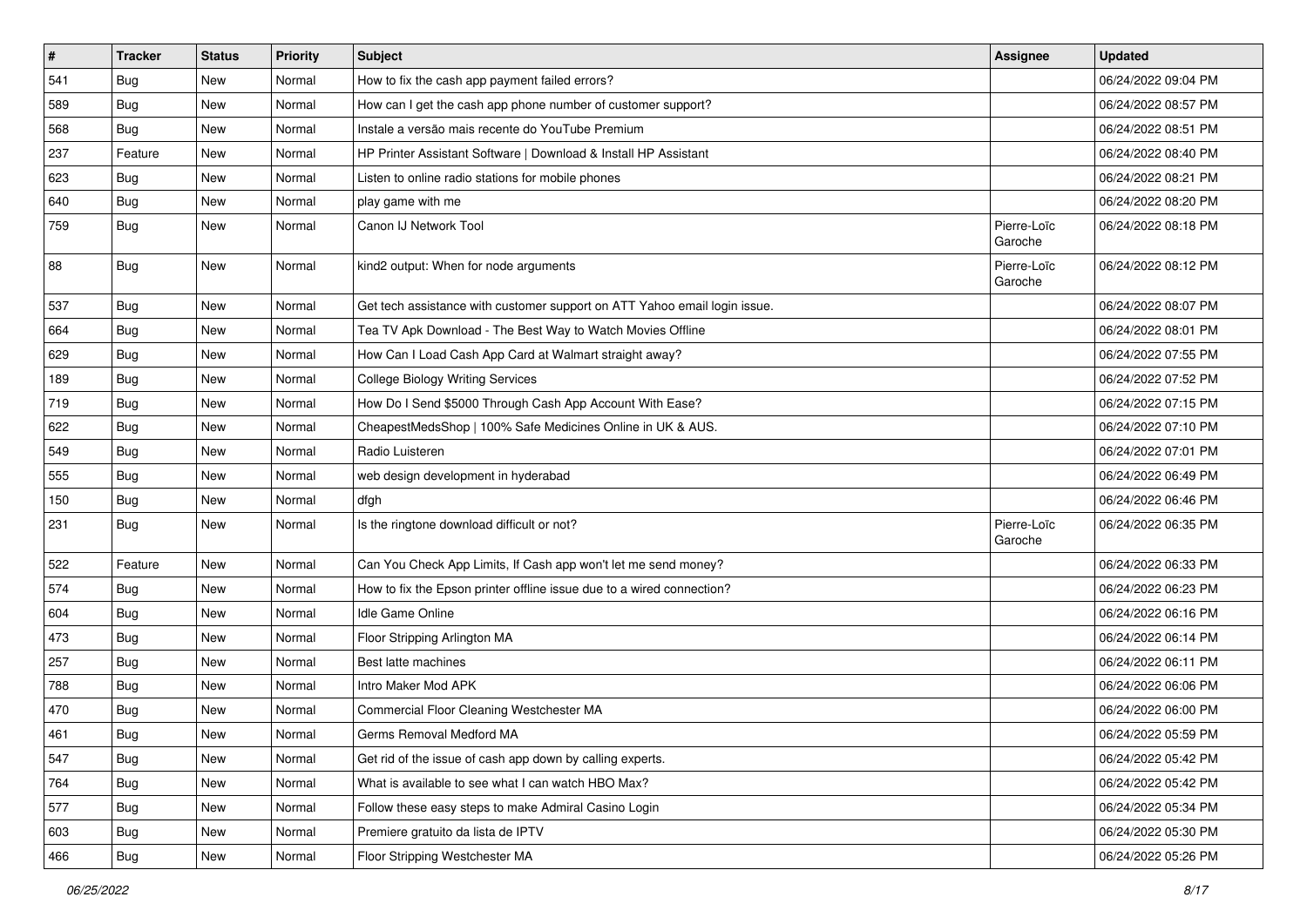| #   | <b>Tracker</b> | <b>Status</b> | <b>Priority</b> | Subject                                                                   | <b>Assignee</b>        | <b>Updated</b>      |
|-----|----------------|---------------|-----------------|---------------------------------------------------------------------------|------------------------|---------------------|
| 541 | <b>Bug</b>     | New           | Normal          | How to fix the cash app payment failed errors?                            |                        | 06/24/2022 09:04 PM |
| 589 | Bug            | New           | Normal          | How can I get the cash app phone number of customer support?              |                        | 06/24/2022 08:57 PM |
| 568 | <b>Bug</b>     | New           | Normal          | Instale a versão mais recente do YouTube Premium                          |                        | 06/24/2022 08:51 PM |
| 237 | Feature        | New           | Normal          | HP Printer Assistant Software   Download & Install HP Assistant           |                        | 06/24/2022 08:40 PM |
| 623 | Bug            | New           | Normal          | Listen to online radio stations for mobile phones                         |                        | 06/24/2022 08:21 PM |
| 640 | <b>Bug</b>     | New           | Normal          | play game with me                                                         |                        | 06/24/2022 08:20 PM |
| 759 | <b>Bug</b>     | New           | Normal          | Canon IJ Network Tool                                                     | Pierre-Loïc<br>Garoche | 06/24/2022 08:18 PM |
| 88  | <b>Bug</b>     | New           | Normal          | kind2 output: When for node arguments                                     | Pierre-Loïc<br>Garoche | 06/24/2022 08:12 PM |
| 537 | <b>Bug</b>     | <b>New</b>    | Normal          | Get tech assistance with customer support on ATT Yahoo email login issue. |                        | 06/24/2022 08:07 PM |
| 664 | <b>Bug</b>     | New           | Normal          | Tea TV Apk Download - The Best Way to Watch Movies Offline                |                        | 06/24/2022 08:01 PM |
| 629 | Bug            | New           | Normal          | How Can I Load Cash App Card at Walmart straight away?                    |                        | 06/24/2022 07:55 PM |
| 189 | <b>Bug</b>     | New           | Normal          | <b>College Biology Writing Services</b>                                   |                        | 06/24/2022 07:52 PM |
| 719 | <b>Bug</b>     | New           | Normal          | How Do I Send \$5000 Through Cash App Account With Ease?                  |                        | 06/24/2022 07:15 PM |
| 622 | Bug            | New           | Normal          | CheapestMedsShop   100% Safe Medicines Online in UK & AUS.                |                        | 06/24/2022 07:10 PM |
| 549 | <b>Bug</b>     | New           | Normal          | Radio Luisteren                                                           |                        | 06/24/2022 07:01 PM |
| 555 | <b>Bug</b>     | New           | Normal          | web design development in hyderabad                                       |                        | 06/24/2022 06:49 PM |
| 150 | Bug            | New           | Normal          | dfgh                                                                      |                        | 06/24/2022 06:46 PM |
| 231 | <b>Bug</b>     | New           | Normal          | Is the ringtone download difficult or not?                                | Pierre-Loïc<br>Garoche | 06/24/2022 06:35 PM |
| 522 | Feature        | New           | Normal          | Can You Check App Limits, If Cash app won't let me send money?            |                        | 06/24/2022 06:33 PM |
| 574 | <b>Bug</b>     | New           | Normal          | How to fix the Epson printer offline issue due to a wired connection?     |                        | 06/24/2022 06:23 PM |
| 604 | Bug            | New           | Normal          | Idle Game Online                                                          |                        | 06/24/2022 06:16 PM |
| 473 | <b>Bug</b>     | New           | Normal          | Floor Stripping Arlington MA                                              |                        | 06/24/2022 06:14 PM |
| 257 | Bug            | New           | Normal          | Best latte machines                                                       |                        | 06/24/2022 06:11 PM |
| 788 | <b>Bug</b>     | New           | Normal          | Intro Maker Mod APK                                                       |                        | 06/24/2022 06:06 PM |
| 470 | <b>Bug</b>     | New           | Normal          | Commercial Floor Cleaning Westchester MA                                  |                        | 06/24/2022 06:00 PM |
| 461 | <b>Bug</b>     | New           | Normal          | Germs Removal Medford MA                                                  |                        | 06/24/2022 05:59 PM |
| 547 | <b>Bug</b>     | New           | Normal          | Get rid of the issue of cash app down by calling experts.                 |                        | 06/24/2022 05:42 PM |
| 764 | <b>Bug</b>     | New           | Normal          | What is available to see what I can watch HBO Max?                        |                        | 06/24/2022 05:42 PM |
| 577 | Bug            | New           | Normal          | Follow these easy steps to make Admiral Casino Login                      |                        | 06/24/2022 05:34 PM |
| 603 | Bug            | New           | Normal          | Premiere gratuito da lista de IPTV                                        |                        | 06/24/2022 05:30 PM |
| 466 | <b>Bug</b>     | New           | Normal          | Floor Stripping Westchester MA                                            |                        | 06/24/2022 05:26 PM |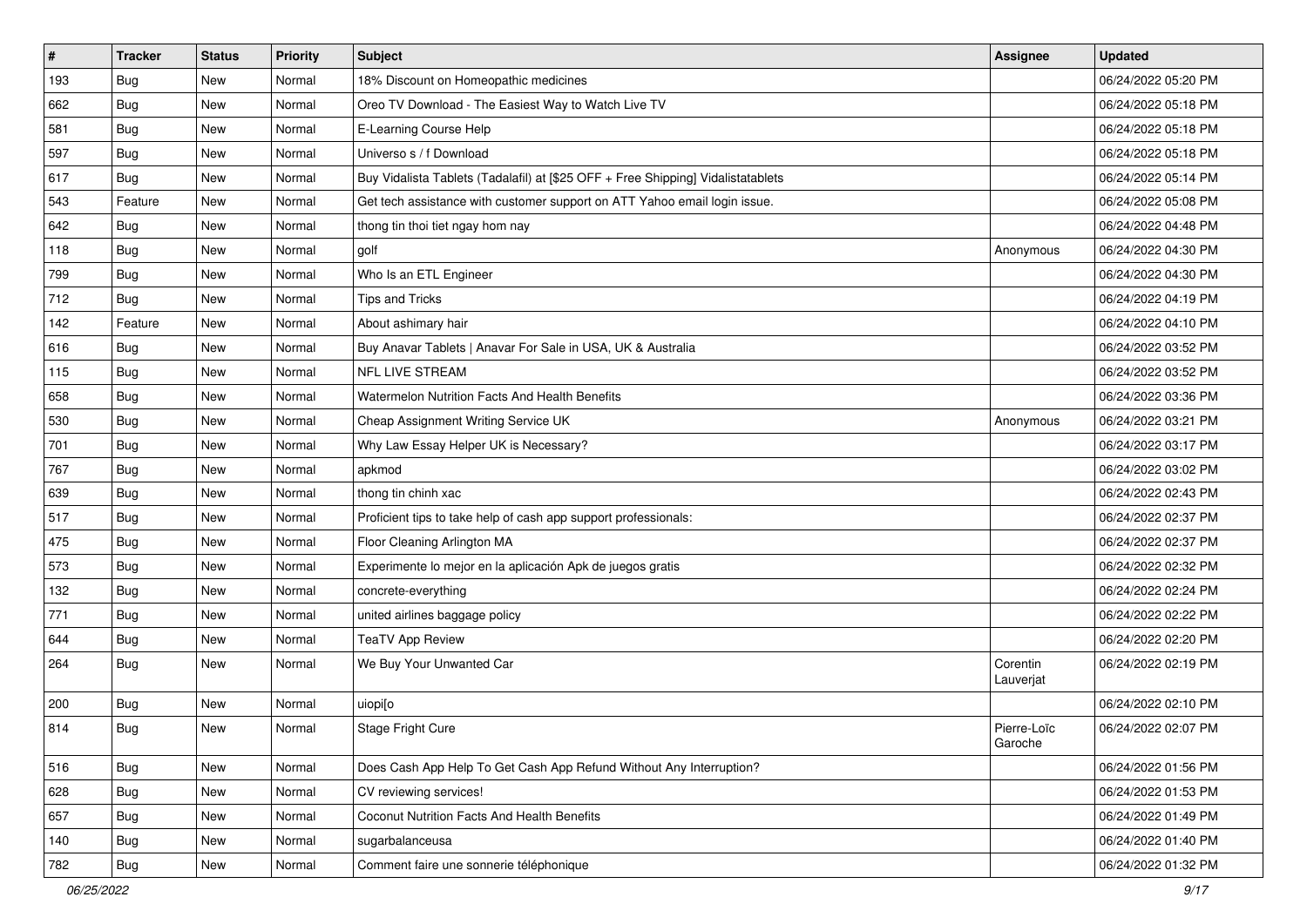| $\vert$ # | <b>Tracker</b> | <b>Status</b> | <b>Priority</b> | <b>Subject</b>                                                                   | Assignee               | <b>Updated</b>      |
|-----------|----------------|---------------|-----------------|----------------------------------------------------------------------------------|------------------------|---------------------|
| 193       | <b>Bug</b>     | New           | Normal          | 18% Discount on Homeopathic medicines                                            |                        | 06/24/2022 05:20 PM |
| 662       | <b>Bug</b>     | New           | Normal          | Oreo TV Download - The Easiest Way to Watch Live TV                              |                        | 06/24/2022 05:18 PM |
| 581       | Bug            | New           | Normal          | E-Learning Course Help                                                           |                        | 06/24/2022 05:18 PM |
| 597       | <b>Bug</b>     | New           | Normal          | Universo s / f Download                                                          |                        | 06/24/2022 05:18 PM |
| 617       | Bug            | New           | Normal          | Buy Vidalista Tablets (Tadalafil) at [\$25 OFF + Free Shipping] Vidalistatablets |                        | 06/24/2022 05:14 PM |
| 543       | Feature        | New           | Normal          | Get tech assistance with customer support on ATT Yahoo email login issue.        |                        | 06/24/2022 05:08 PM |
| 642       | <b>Bug</b>     | New           | Normal          | thong tin thoi tiet ngay hom nay                                                 |                        | 06/24/2022 04:48 PM |
| 118       | <b>Bug</b>     | New           | Normal          | golf                                                                             | Anonymous              | 06/24/2022 04:30 PM |
| 799       | <b>Bug</b>     | New           | Normal          | Who Is an ETL Engineer                                                           |                        | 06/24/2022 04:30 PM |
| 712       | <b>Bug</b>     | New           | Normal          | <b>Tips and Tricks</b>                                                           |                        | 06/24/2022 04:19 PM |
| 142       | Feature        | New           | Normal          | About ashimary hair                                                              |                        | 06/24/2022 04:10 PM |
| 616       | <b>Bug</b>     | New           | Normal          | Buy Anavar Tablets   Anavar For Sale in USA, UK & Australia                      |                        | 06/24/2022 03:52 PM |
| 115       | Bug            | <b>New</b>    | Normal          | <b>NFL LIVE STREAM</b>                                                           |                        | 06/24/2022 03:52 PM |
| 658       | Bug            | New           | Normal          | Watermelon Nutrition Facts And Health Benefits                                   |                        | 06/24/2022 03:36 PM |
| 530       | Bug            | New           | Normal          | Cheap Assignment Writing Service UK                                              | Anonymous              | 06/24/2022 03:21 PM |
| 701       | <b>Bug</b>     | New           | Normal          | Why Law Essay Helper UK is Necessary?                                            |                        | 06/24/2022 03:17 PM |
| 767       | Bug            | New           | Normal          | apkmod                                                                           |                        | 06/24/2022 03:02 PM |
| 639       | Bug            | New           | Normal          | thong tin chinh xac                                                              |                        | 06/24/2022 02:43 PM |
| 517       | Bug            | New           | Normal          | Proficient tips to take help of cash app support professionals:                  |                        | 06/24/2022 02:37 PM |
| 475       | Bug            | New           | Normal          | Floor Cleaning Arlington MA                                                      |                        | 06/24/2022 02:37 PM |
| 573       | Bug            | New           | Normal          | Experimente lo mejor en la aplicación Apk de juegos gratis                       |                        | 06/24/2022 02:32 PM |
| 132       | <b>Bug</b>     | New           | Normal          | concrete-everything                                                              |                        | 06/24/2022 02:24 PM |
| 771       | <b>Bug</b>     | New           | Normal          | united airlines baggage policy                                                   |                        | 06/24/2022 02:22 PM |
| 644       | <b>Bug</b>     | New           | Normal          | <b>TeaTV App Review</b>                                                          |                        | 06/24/2022 02:20 PM |
| 264       | <b>Bug</b>     | New           | Normal          | We Buy Your Unwanted Car                                                         | Corentin<br>Lauverjat  | 06/24/2022 02:19 PM |
| 200       | Bug            | New           | Normal          | uiopi[o                                                                          |                        | 06/24/2022 02:10 PM |
| 814       | <b>Bug</b>     | New           | Normal          | Stage Fright Cure                                                                | Pierre-Loïc<br>Garoche | 06/24/2022 02:07 PM |
| 516       | Bug            | New           | Normal          | Does Cash App Help To Get Cash App Refund Without Any Interruption?              |                        | 06/24/2022 01:56 PM |
| 628       | <b>Bug</b>     | New           | Normal          | CV reviewing services!                                                           |                        | 06/24/2022 01:53 PM |
| 657       | <b>Bug</b>     | New           | Normal          | Coconut Nutrition Facts And Health Benefits                                      |                        | 06/24/2022 01:49 PM |
| 140       | Bug            | New           | Normal          | sugarbalanceusa                                                                  |                        | 06/24/2022 01:40 PM |
| 782       | Bug            | New           | Normal          | Comment faire une sonnerie téléphonique                                          |                        | 06/24/2022 01:32 PM |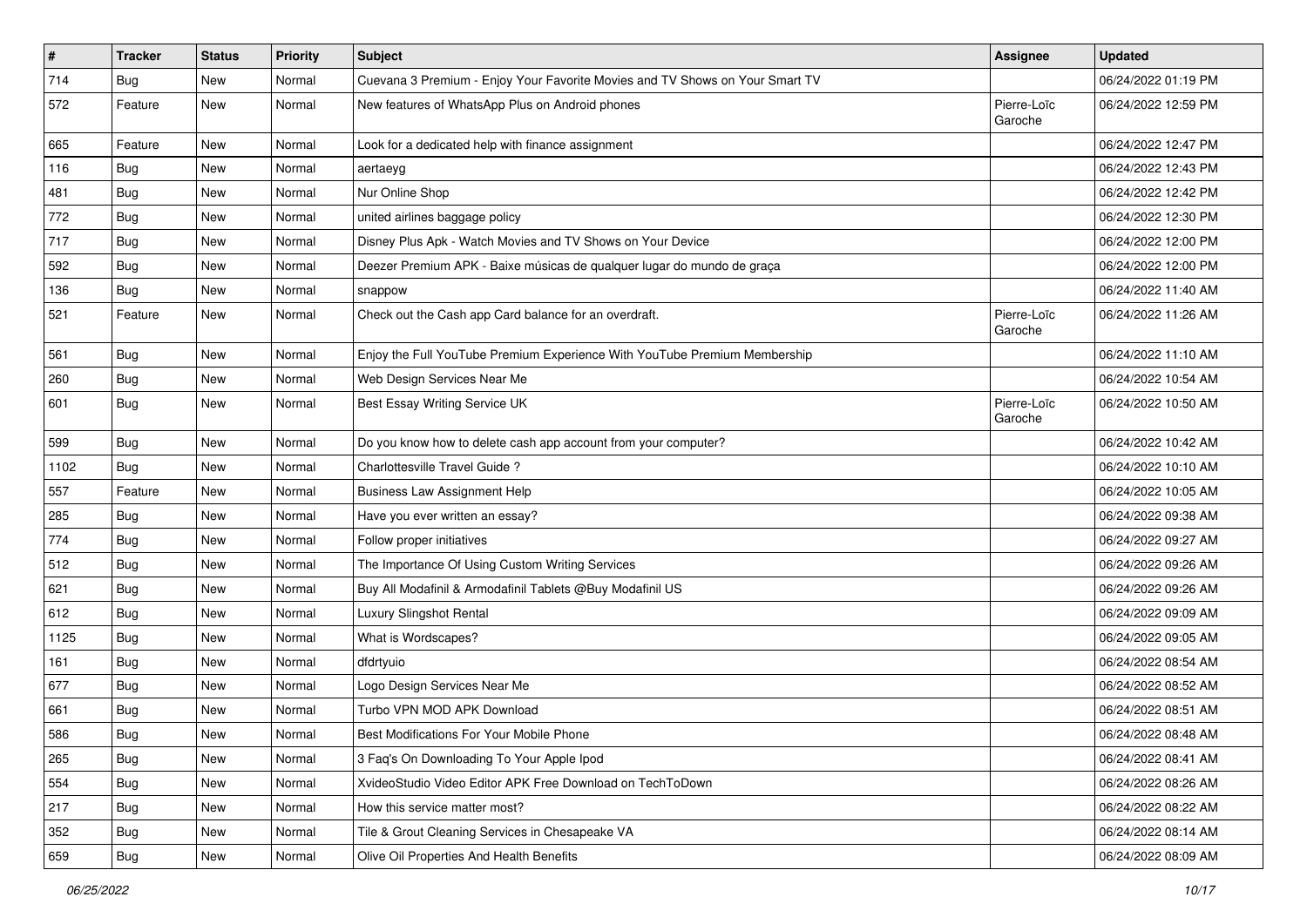| #    | <b>Tracker</b> | <b>Status</b> | <b>Priority</b> | <b>Subject</b>                                                               | <b>Assignee</b>        | <b>Updated</b>      |
|------|----------------|---------------|-----------------|------------------------------------------------------------------------------|------------------------|---------------------|
| 714  | <b>Bug</b>     | New           | Normal          | Cuevana 3 Premium - Enjoy Your Favorite Movies and TV Shows on Your Smart TV |                        | 06/24/2022 01:19 PM |
| 572  | Feature        | New           | Normal          | New features of WhatsApp Plus on Android phones                              | Pierre-Loïc<br>Garoche | 06/24/2022 12:59 PM |
| 665  | Feature        | New           | Normal          | Look for a dedicated help with finance assignment                            |                        | 06/24/2022 12:47 PM |
| 116  | <b>Bug</b>     | New           | Normal          | aertaeyg                                                                     |                        | 06/24/2022 12:43 PM |
| 481  | Bug            | New           | Normal          | Nur Online Shop                                                              |                        | 06/24/2022 12:42 PM |
| 772  | <b>Bug</b>     | New           | Normal          | united airlines baggage policy                                               |                        | 06/24/2022 12:30 PM |
| 717  | Bug            | New           | Normal          | Disney Plus Apk - Watch Movies and TV Shows on Your Device                   |                        | 06/24/2022 12:00 PM |
| 592  | Bug            | New           | Normal          | Deezer Premium APK - Baixe músicas de qualquer lugar do mundo de graça       |                        | 06/24/2022 12:00 PM |
| 136  | <b>Bug</b>     | New           | Normal          | snappow                                                                      |                        | 06/24/2022 11:40 AM |
| 521  | Feature        | New           | Normal          | Check out the Cash app Card balance for an overdraft.                        | Pierre-Loïc<br>Garoche | 06/24/2022 11:26 AM |
| 561  | <b>Bug</b>     | New           | Normal          | Enjoy the Full YouTube Premium Experience With YouTube Premium Membership    |                        | 06/24/2022 11:10 AM |
| 260  | <b>Bug</b>     | New           | Normal          | Web Design Services Near Me                                                  |                        | 06/24/2022 10:54 AM |
| 601  | <b>Bug</b>     | New           | Normal          | Best Essay Writing Service UK                                                | Pierre-Loïc<br>Garoche | 06/24/2022 10:50 AM |
| 599  | Bug            | New           | Normal          | Do you know how to delete cash app account from your computer?               |                        | 06/24/2022 10:42 AM |
| 1102 | <b>Bug</b>     | New           | Normal          | Charlottesville Travel Guide ?                                               |                        | 06/24/2022 10:10 AM |
| 557  | Feature        | New           | Normal          | <b>Business Law Assignment Help</b>                                          |                        | 06/24/2022 10:05 AM |
| 285  | <b>Bug</b>     | New           | Normal          | Have you ever written an essay?                                              |                        | 06/24/2022 09:38 AM |
| 774  | <b>Bug</b>     | New           | Normal          | Follow proper initiatives                                                    |                        | 06/24/2022 09:27 AM |
| 512  | <b>Bug</b>     | New           | Normal          | The Importance Of Using Custom Writing Services                              |                        | 06/24/2022 09:26 AM |
| 621  | <b>Bug</b>     | New           | Normal          | Buy All Modafinil & Armodafinil Tablets @Buy Modafinil US                    |                        | 06/24/2022 09:26 AM |
| 612  | <b>Bug</b>     | New           | Normal          | Luxury Slingshot Rental                                                      |                        | 06/24/2022 09:09 AM |
| 1125 | Bug            | New           | Normal          | What is Wordscapes?                                                          |                        | 06/24/2022 09:05 AM |
| 161  | <b>Bug</b>     | New           | Normal          | dfdrtyuio                                                                    |                        | 06/24/2022 08:54 AM |
| 677  | Bug            | New           | Normal          | Logo Design Services Near Me                                                 |                        | 06/24/2022 08:52 AM |
| 661  | <b>Bug</b>     | New           | Normal          | Turbo VPN MOD APK Download                                                   |                        | 06/24/2022 08:51 AM |
| 586  | <b>Bug</b>     | New           | Normal          | Best Modifications For Your Mobile Phone                                     |                        | 06/24/2022 08:48 AM |
| 265  | <b>Bug</b>     | New           | Normal          | 3 Faq's On Downloading To Your Apple Ipod                                    |                        | 06/24/2022 08:41 AM |
| 554  | <b>Bug</b>     | New           | Normal          | XvideoStudio Video Editor APK Free Download on TechToDown                    |                        | 06/24/2022 08:26 AM |
| 217  | <b>Bug</b>     | New           | Normal          | How this service matter most?                                                |                        | 06/24/2022 08:22 AM |
| 352  | <b>Bug</b>     | New           | Normal          | Tile & Grout Cleaning Services in Chesapeake VA                              |                        | 06/24/2022 08:14 AM |
| 659  | <b>Bug</b>     | New           | Normal          | Olive Oil Properties And Health Benefits                                     |                        | 06/24/2022 08:09 AM |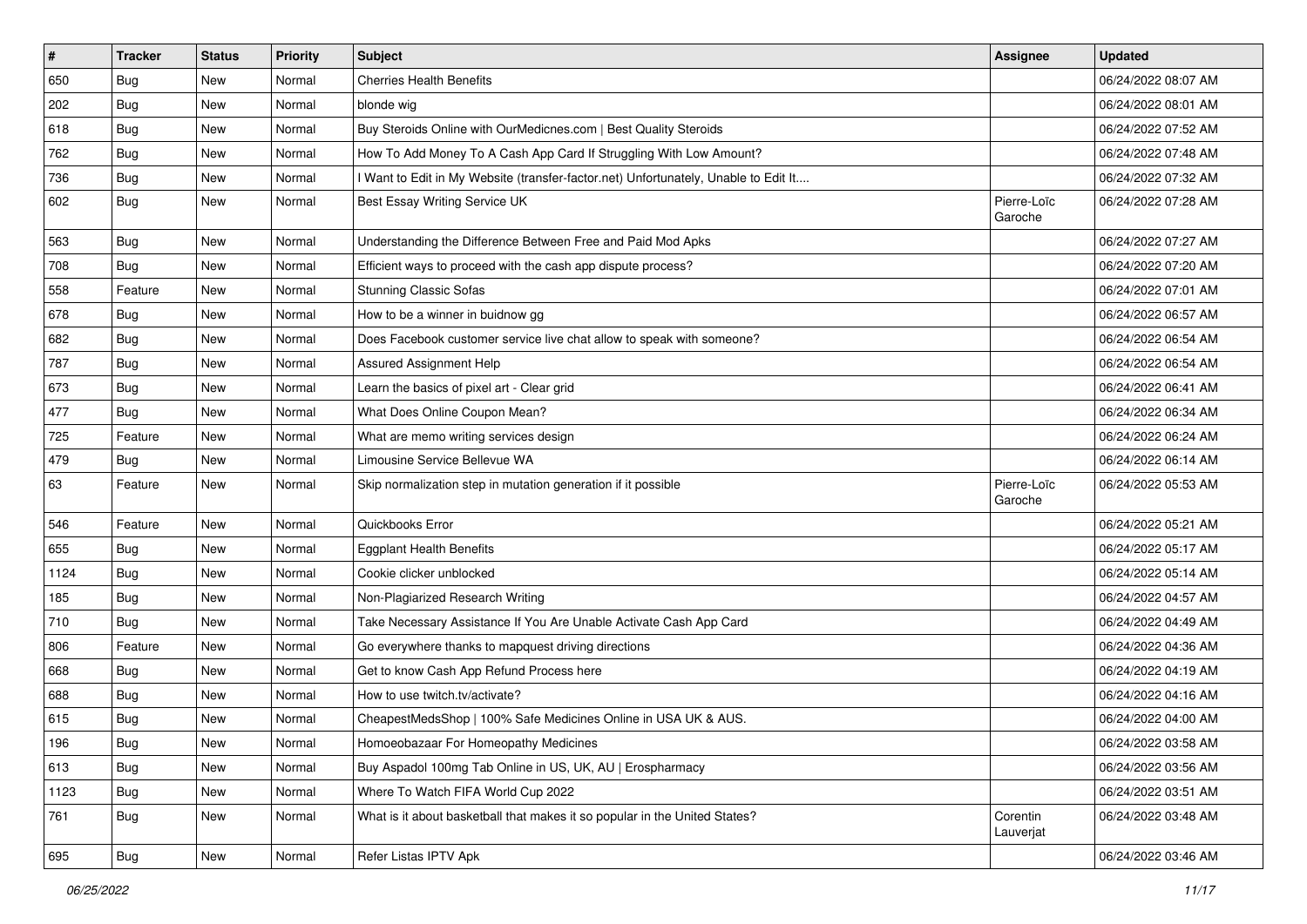| $\pmb{\#}$ | <b>Tracker</b> | <b>Status</b> | <b>Priority</b> | Subject                                                                             | <b>Assignee</b>        | <b>Updated</b>      |
|------------|----------------|---------------|-----------------|-------------------------------------------------------------------------------------|------------------------|---------------------|
| 650        | <b>Bug</b>     | New           | Normal          | <b>Cherries Health Benefits</b>                                                     |                        | 06/24/2022 08:07 AM |
| 202        | <b>Bug</b>     | New           | Normal          | blonde wig                                                                          |                        | 06/24/2022 08:01 AM |
| 618        | Bug            | New           | Normal          | Buy Steroids Online with OurMedicnes.com   Best Quality Steroids                    |                        | 06/24/2022 07:52 AM |
| 762        | <b>Bug</b>     | New           | Normal          | How To Add Money To A Cash App Card If Struggling With Low Amount?                  |                        | 06/24/2022 07:48 AM |
| 736        | Bug            | New           | Normal          | I Want to Edit in My Website (transfer-factor.net) Unfortunately, Unable to Edit It |                        | 06/24/2022 07:32 AM |
| 602        | <b>Bug</b>     | New           | Normal          | Best Essay Writing Service UK                                                       | Pierre-Loïc<br>Garoche | 06/24/2022 07:28 AM |
| 563        | Bug            | New           | Normal          | Understanding the Difference Between Free and Paid Mod Apks                         |                        | 06/24/2022 07:27 AM |
| 708        | Bug            | New           | Normal          | Efficient ways to proceed with the cash app dispute process?                        |                        | 06/24/2022 07:20 AM |
| 558        | Feature        | <b>New</b>    | Normal          | <b>Stunning Classic Sofas</b>                                                       |                        | 06/24/2022 07:01 AM |
| 678        | Bug            | New           | Normal          | How to be a winner in buidnow gg                                                    |                        | 06/24/2022 06:57 AM |
| 682        | <b>Bug</b>     | New           | Normal          | Does Facebook customer service live chat allow to speak with someone?               |                        | 06/24/2022 06:54 AM |
| 787        | Bug            | New           | Normal          | <b>Assured Assignment Help</b>                                                      |                        | 06/24/2022 06:54 AM |
| 673        | <b>Bug</b>     | New           | Normal          | Learn the basics of pixel art - Clear grid                                          |                        | 06/24/2022 06:41 AM |
| 477        | <b>Bug</b>     | New           | Normal          | What Does Online Coupon Mean?                                                       |                        | 06/24/2022 06:34 AM |
| 725        | Feature        | New           | Normal          | What are memo writing services design                                               |                        | 06/24/2022 06:24 AM |
| 479        | <b>Bug</b>     | New           | Normal          | Limousine Service Bellevue WA                                                       |                        | 06/24/2022 06:14 AM |
| 63         | Feature        | New           | Normal          | Skip normalization step in mutation generation if it possible                       | Pierre-Loïc<br>Garoche | 06/24/2022 05:53 AM |
| 546        | Feature        | New           | Normal          | Quickbooks Error                                                                    |                        | 06/24/2022 05:21 AM |
| 655        | Bug            | New           | Normal          | <b>Eggplant Health Benefits</b>                                                     |                        | 06/24/2022 05:17 AM |
| 1124       | Bug            | New           | Normal          | Cookie clicker unblocked                                                            |                        | 06/24/2022 05:14 AM |
| 185        | Bug            | New           | Normal          | Non-Plagiarized Research Writing                                                    |                        | 06/24/2022 04:57 AM |
| 710        | Bug            | New           | Normal          | Take Necessary Assistance If You Are Unable Activate Cash App Card                  |                        | 06/24/2022 04:49 AM |
| 806        | Feature        | New           | Normal          | Go everywhere thanks to mapquest driving directions                                 |                        | 06/24/2022 04:36 AM |
| 668        | Bug            | New           | Normal          | Get to know Cash App Refund Process here                                            |                        | 06/24/2022 04:19 AM |
| 688        | <b>Bug</b>     | New           | Normal          | How to use twitch.tv/activate?                                                      |                        | 06/24/2022 04:16 AM |
| 615        | <b>Bug</b>     | New           | Normal          | CheapestMedsShop   100% Safe Medicines Online in USA UK & AUS.                      |                        | 06/24/2022 04:00 AM |
| 196        | Bug            | New           | Normal          | Homoeobazaar For Homeopathy Medicines                                               |                        | 06/24/2022 03:58 AM |
| 613        | Bug            | New           | Normal          | Buy Aspadol 100mg Tab Online in US, UK, AU   Erospharmacy                           |                        | 06/24/2022 03:56 AM |
| 1123       | <b>Bug</b>     | New           | Normal          | Where To Watch FIFA World Cup 2022                                                  |                        | 06/24/2022 03:51 AM |
| 761        | Bug            | New           | Normal          | What is it about basketball that makes it so popular in the United States?          | Corentin<br>Lauverjat  | 06/24/2022 03:48 AM |
| 695        | <b>Bug</b>     | New           | Normal          | Refer Listas IPTV Apk                                                               |                        | 06/24/2022 03:46 AM |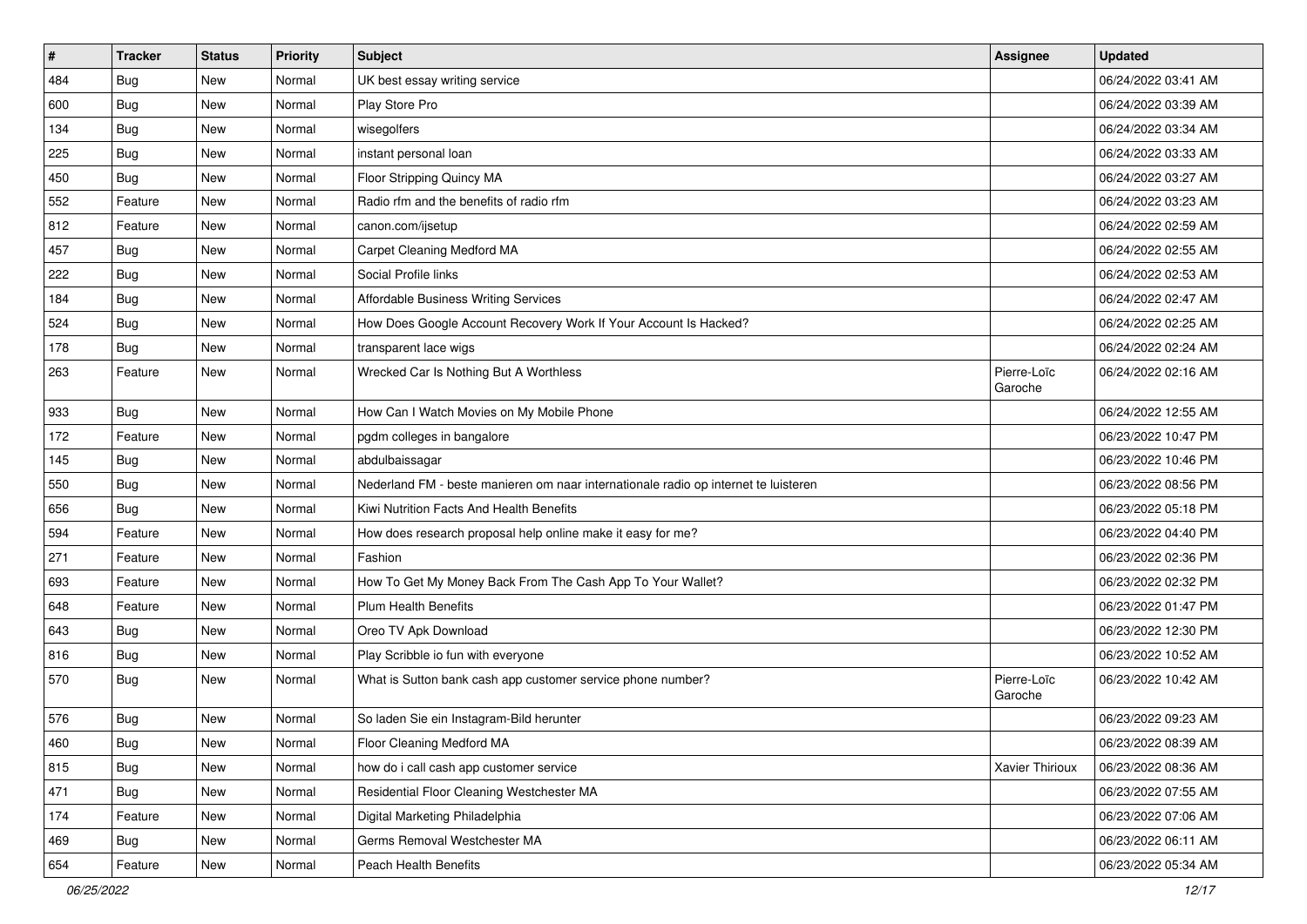| $\sharp$ | <b>Tracker</b> | <b>Status</b> | <b>Priority</b> | Subject                                                                             | <b>Assignee</b>        | <b>Updated</b>      |
|----------|----------------|---------------|-----------------|-------------------------------------------------------------------------------------|------------------------|---------------------|
| 484      | <b>Bug</b>     | New           | Normal          | UK best essay writing service                                                       |                        | 06/24/2022 03:41 AM |
| 600      | <b>Bug</b>     | New           | Normal          | Play Store Pro                                                                      |                        | 06/24/2022 03:39 AM |
| 134      | Bug            | New           | Normal          | wisegolfers                                                                         |                        | 06/24/2022 03:34 AM |
| 225      | <b>Bug</b>     | New           | Normal          | instant personal loan                                                               |                        | 06/24/2022 03:33 AM |
| 450      | <b>Bug</b>     | New           | Normal          | Floor Stripping Quincy MA                                                           |                        | 06/24/2022 03:27 AM |
| 552      | Feature        | New           | Normal          | Radio rfm and the benefits of radio rfm                                             |                        | 06/24/2022 03:23 AM |
| 812      | Feature        | New           | Normal          | canon.com/ijsetup                                                                   |                        | 06/24/2022 02:59 AM |
| 457      | <b>Bug</b>     | New           | Normal          | Carpet Cleaning Medford MA                                                          |                        | 06/24/2022 02:55 AM |
| 222      | Bug            | New           | Normal          | Social Profile links                                                                |                        | 06/24/2022 02:53 AM |
| 184      | Bug            | New           | Normal          | Affordable Business Writing Services                                                |                        | 06/24/2022 02:47 AM |
| 524      | <b>Bug</b>     | New           | Normal          | How Does Google Account Recovery Work If Your Account Is Hacked?                    |                        | 06/24/2022 02:25 AM |
| 178      | <b>Bug</b>     | New           | Normal          | transparent lace wigs                                                               |                        | 06/24/2022 02:24 AM |
| 263      | Feature        | New           | Normal          | Wrecked Car Is Nothing But A Worthless                                              | Pierre-Loïc<br>Garoche | 06/24/2022 02:16 AM |
| 933      | <b>Bug</b>     | New           | Normal          | How Can I Watch Movies on My Mobile Phone                                           |                        | 06/24/2022 12:55 AM |
| 172      | Feature        | New           | Normal          | pgdm colleges in bangalore                                                          |                        | 06/23/2022 10:47 PM |
| 145      | <b>Bug</b>     | New           | Normal          | abdulbaissagar                                                                      |                        | 06/23/2022 10:46 PM |
| 550      | Bug            | New           | Normal          | Nederland FM - beste manieren om naar internationale radio op internet te luisteren |                        | 06/23/2022 08:56 PM |
| 656      | <b>Bug</b>     | New           | Normal          | Kiwi Nutrition Facts And Health Benefits                                            |                        | 06/23/2022 05:18 PM |
| 594      | Feature        | New           | Normal          | How does research proposal help online make it easy for me?                         |                        | 06/23/2022 04:40 PM |
| 271      | Feature        | New           | Normal          | Fashion                                                                             |                        | 06/23/2022 02:36 PM |
| 693      | Feature        | New           | Normal          | How To Get My Money Back From The Cash App To Your Wallet?                          |                        | 06/23/2022 02:32 PM |
| 648      | Feature        | New           | Normal          | <b>Plum Health Benefits</b>                                                         |                        | 06/23/2022 01:47 PM |
| 643      | <b>Bug</b>     | New           | Normal          | Oreo TV Apk Download                                                                |                        | 06/23/2022 12:30 PM |
| 816      | <b>Bug</b>     | New           | Normal          | Play Scribble io fun with everyone                                                  |                        | 06/23/2022 10:52 AM |
| 570      | <b>Bug</b>     | New           | Normal          | What is Sutton bank cash app customer service phone number?                         | Pierre-Loïc<br>Garoche | 06/23/2022 10:42 AM |
| 576      | <b>Bug</b>     | New           | Normal          | So laden Sie ein Instagram-Bild herunter                                            |                        | 06/23/2022 09:23 AM |
| 460      | Bug            | New           | Normal          | Floor Cleaning Medford MA                                                           |                        | 06/23/2022 08:39 AM |
| 815      | <b>Bug</b>     | New           | Normal          | how do i call cash app customer service                                             | Xavier Thirioux        | 06/23/2022 08:36 AM |
| 471      | Bug            | New           | Normal          | Residential Floor Cleaning Westchester MA                                           |                        | 06/23/2022 07:55 AM |
| 174      | Feature        | New           | Normal          | Digital Marketing Philadelphia                                                      |                        | 06/23/2022 07:06 AM |
| 469      | <b>Bug</b>     | New           | Normal          | Germs Removal Westchester MA                                                        |                        | 06/23/2022 06:11 AM |
| 654      | Feature        | New           | Normal          | Peach Health Benefits                                                               |                        | 06/23/2022 05:34 AM |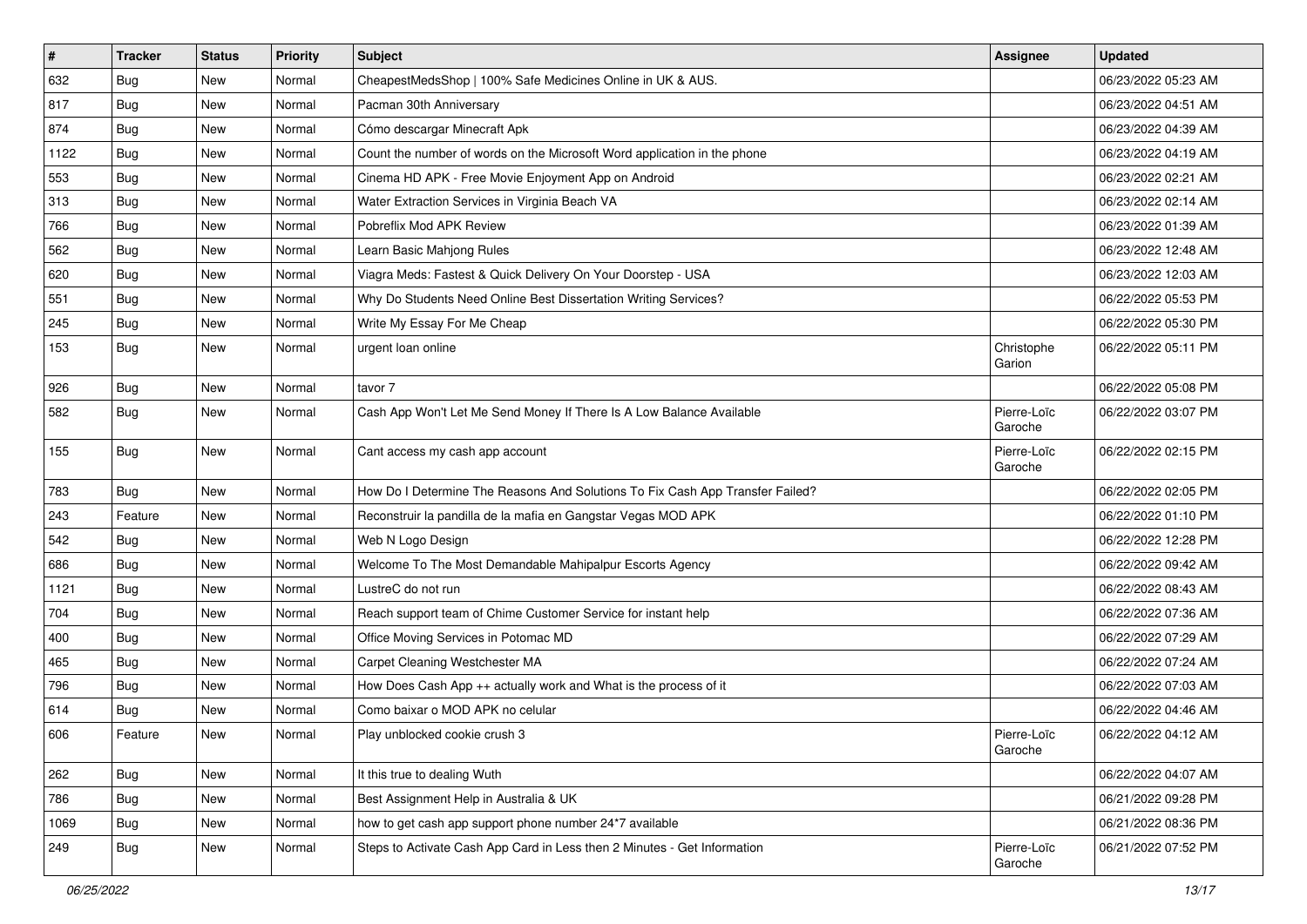| #    | <b>Tracker</b> | <b>Status</b> | <b>Priority</b> | <b>Subject</b>                                                                | <b>Assignee</b>        | <b>Updated</b>      |
|------|----------------|---------------|-----------------|-------------------------------------------------------------------------------|------------------------|---------------------|
| 632  | <b>Bug</b>     | New           | Normal          | CheapestMedsShop   100% Safe Medicines Online in UK & AUS.                    |                        | 06/23/2022 05:23 AM |
| 817  | Bug            | New           | Normal          | Pacman 30th Anniversary                                                       |                        | 06/23/2022 04:51 AM |
| 874  | Bug            | New           | Normal          | Cómo descargar Minecraft Apk                                                  |                        | 06/23/2022 04:39 AM |
| 1122 | <b>Bug</b>     | New           | Normal          | Count the number of words on the Microsoft Word application in the phone      |                        | 06/23/2022 04:19 AM |
| 553  | Bug            | New           | Normal          | Cinema HD APK - Free Movie Enjoyment App on Android                           |                        | 06/23/2022 02:21 AM |
| 313  | <b>Bug</b>     | New           | Normal          | Water Extraction Services in Virginia Beach VA                                |                        | 06/23/2022 02:14 AM |
| 766  | <b>Bug</b>     | New           | Normal          | Pobreflix Mod APK Review                                                      |                        | 06/23/2022 01:39 AM |
| 562  | Bug            | New           | Normal          | Learn Basic Mahjong Rules                                                     |                        | 06/23/2022 12:48 AM |
| 620  | Bug            | New           | Normal          | Viagra Meds: Fastest & Quick Delivery On Your Doorstep - USA                  |                        | 06/23/2022 12:03 AM |
| 551  | Bug            | New           | Normal          | Why Do Students Need Online Best Dissertation Writing Services?               |                        | 06/22/2022 05:53 PM |
| 245  | Bug            | New           | Normal          | Write My Essay For Me Cheap                                                   |                        | 06/22/2022 05:30 PM |
| 153  | <b>Bug</b>     | New           | Normal          | urgent loan online                                                            | Christophe<br>Garion   | 06/22/2022 05:11 PM |
| 926  | Bug            | New           | Normal          | tavor 7                                                                       |                        | 06/22/2022 05:08 PM |
| 582  | <b>Bug</b>     | New           | Normal          | Cash App Won't Let Me Send Money If There Is A Low Balance Available          | Pierre-Loïc<br>Garoche | 06/22/2022 03:07 PM |
| 155  | <b>Bug</b>     | New           | Normal          | Cant access my cash app account                                               | Pierre-Loïc<br>Garoche | 06/22/2022 02:15 PM |
| 783  | Bug            | New           | Normal          | How Do I Determine The Reasons And Solutions To Fix Cash App Transfer Failed? |                        | 06/22/2022 02:05 PM |
| 243  | Feature        | New           | Normal          | Reconstruir la pandilla de la mafia en Gangstar Vegas MOD APK                 |                        | 06/22/2022 01:10 PM |
| 542  | Bug            | New           | Normal          | Web N Logo Design                                                             |                        | 06/22/2022 12:28 PM |
| 686  | <b>Bug</b>     | New           | Normal          | Welcome To The Most Demandable Mahipalpur Escorts Agency                      |                        | 06/22/2022 09:42 AM |
| 1121 | <b>Bug</b>     | New           | Normal          | LustreC do not run                                                            |                        | 06/22/2022 08:43 AM |
| 704  | Bug            | New           | Normal          | Reach support team of Chime Customer Service for instant help                 |                        | 06/22/2022 07:36 AM |
| 400  | <b>Bug</b>     | New           | Normal          | Office Moving Services in Potomac MD                                          |                        | 06/22/2022 07:29 AM |
| 465  | Bug            | New           | Normal          | Carpet Cleaning Westchester MA                                                |                        | 06/22/2022 07:24 AM |
| 796  | <b>Bug</b>     | New           | Normal          | How Does Cash App ++ actually work and What is the process of it              |                        | 06/22/2022 07:03 AM |
| 614  | <b>Bug</b>     | New           | Normal          | Como baixar o MOD APK no celular                                              |                        | 06/22/2022 04:46 AM |
| 606  | Feature        | New           | Normal          | Play unblocked cookie crush 3                                                 | Pierre-Loïc<br>Garoche | 06/22/2022 04:12 AM |
| 262  | Bug            | New           | Normal          | It this true to dealing Wuth                                                  |                        | 06/22/2022 04:07 AM |
| 786  | Bug            | New           | Normal          | Best Assignment Help in Australia & UK                                        |                        | 06/21/2022 09:28 PM |
| 1069 | Bug            | New           | Normal          | how to get cash app support phone number 24*7 available                       |                        | 06/21/2022 08:36 PM |
| 249  | <b>Bug</b>     | New           | Normal          | Steps to Activate Cash App Card in Less then 2 Minutes - Get Information      | Pierre-Loïc<br>Garoche | 06/21/2022 07:52 PM |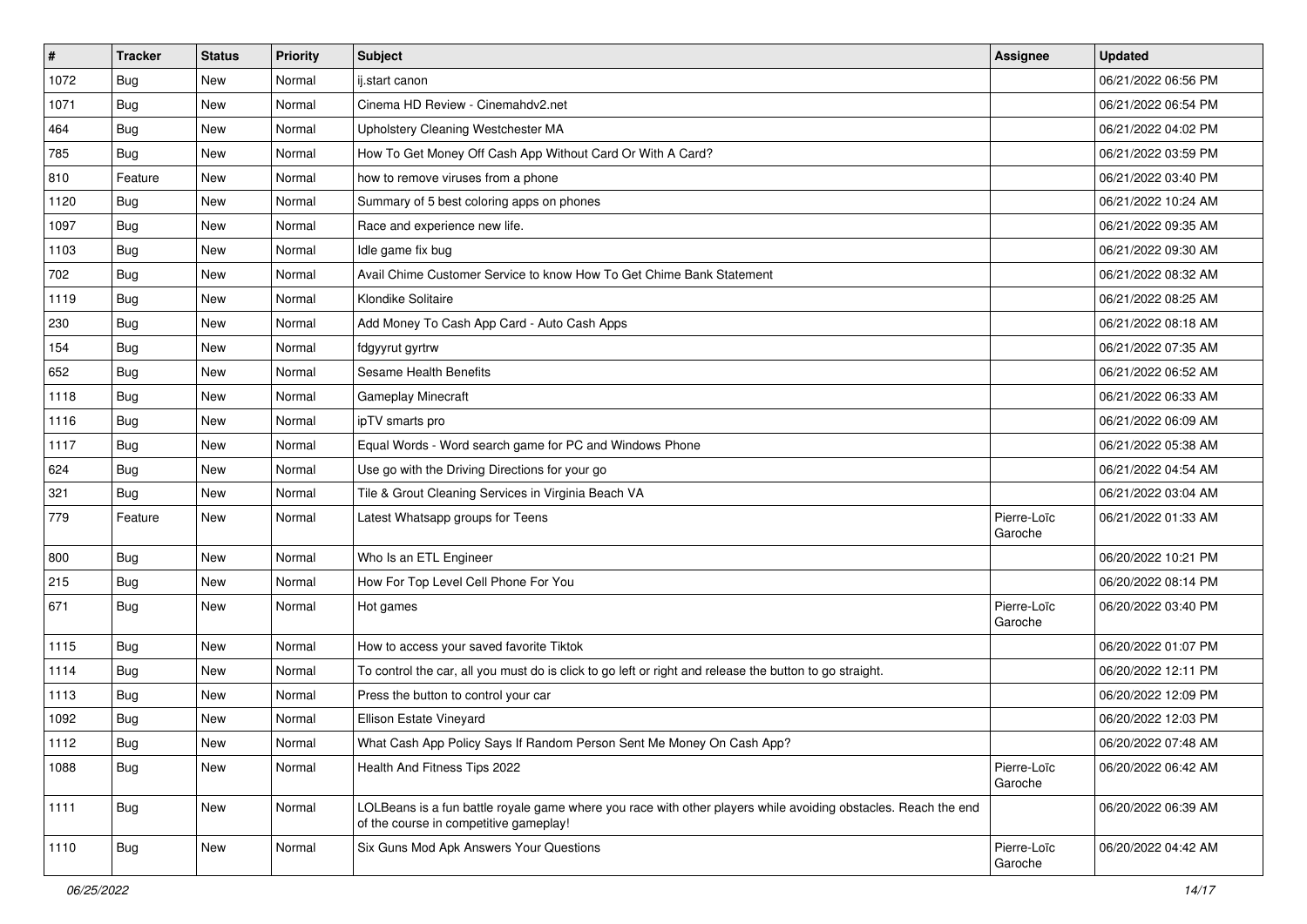| $\vert$ # | <b>Tracker</b> | <b>Status</b> | <b>Priority</b> | Subject                                                                                                                                                  | <b>Assignee</b>        | <b>Updated</b>      |
|-----------|----------------|---------------|-----------------|----------------------------------------------------------------------------------------------------------------------------------------------------------|------------------------|---------------------|
| 1072      | <b>Bug</b>     | New           | Normal          | ij.start canon                                                                                                                                           |                        | 06/21/2022 06:56 PM |
| 1071      | Bug            | New           | Normal          | Cinema HD Review - Cinemahdy2.net                                                                                                                        |                        | 06/21/2022 06:54 PM |
| 464       | Bug            | New           | Normal          | Upholstery Cleaning Westchester MA                                                                                                                       |                        | 06/21/2022 04:02 PM |
| 785       | <b>Bug</b>     | New           | Normal          | How To Get Money Off Cash App Without Card Or With A Card?                                                                                               |                        | 06/21/2022 03:59 PM |
| 810       | Feature        | New           | Normal          | how to remove viruses from a phone                                                                                                                       |                        | 06/21/2022 03:40 PM |
| 1120      | Bug            | New           | Normal          | Summary of 5 best coloring apps on phones                                                                                                                |                        | 06/21/2022 10:24 AM |
| 1097      | Bug            | New           | Normal          | Race and experience new life.                                                                                                                            |                        | 06/21/2022 09:35 AM |
| 1103      | <b>Bug</b>     | New           | Normal          | Idle game fix bug                                                                                                                                        |                        | 06/21/2022 09:30 AM |
| 702       | <b>Bug</b>     | New           | Normal          | Avail Chime Customer Service to know How To Get Chime Bank Statement                                                                                     |                        | 06/21/2022 08:32 AM |
| 1119      | <b>Bug</b>     | New           | Normal          | Klondike Solitaire                                                                                                                                       |                        | 06/21/2022 08:25 AM |
| 230       | Bug            | New           | Normal          | Add Money To Cash App Card - Auto Cash Apps                                                                                                              |                        | 06/21/2022 08:18 AM |
| 154       | <b>Bug</b>     | New           | Normal          | fdgyyrut gyrtrw                                                                                                                                          |                        | 06/21/2022 07:35 AM |
| 652       | Bug            | <b>New</b>    | Normal          | Sesame Health Benefits                                                                                                                                   |                        | 06/21/2022 06:52 AM |
| 1118      | Bug            | New           | Normal          | Gameplay Minecraft                                                                                                                                       |                        | 06/21/2022 06:33 AM |
| 1116      | Bug            | New           | Normal          | ipTV smarts pro                                                                                                                                          |                        | 06/21/2022 06:09 AM |
| 1117      | <b>Bug</b>     | New           | Normal          | Equal Words - Word search game for PC and Windows Phone                                                                                                  |                        | 06/21/2022 05:38 AM |
| 624       | <b>Bug</b>     | New           | Normal          | Use go with the Driving Directions for your go                                                                                                           |                        | 06/21/2022 04:54 AM |
| 321       | Bug            | New           | Normal          | Tile & Grout Cleaning Services in Virginia Beach VA                                                                                                      |                        | 06/21/2022 03:04 AM |
| 779       | Feature        | New           | Normal          | Latest Whatsapp groups for Teens                                                                                                                         | Pierre-Loïc<br>Garoche | 06/21/2022 01:33 AM |
| 800       | Bug            | <b>New</b>    | Normal          | Who Is an ETL Engineer                                                                                                                                   |                        | 06/20/2022 10:21 PM |
| 215       | <b>Bug</b>     | New           | Normal          | How For Top Level Cell Phone For You                                                                                                                     |                        | 06/20/2022 08:14 PM |
| 671       | Bug            | New           | Normal          | Hot games                                                                                                                                                | Pierre-Loïc<br>Garoche | 06/20/2022 03:40 PM |
| 1115      | Bug            | New           | Normal          | How to access your saved favorite Tiktok                                                                                                                 |                        | 06/20/2022 01:07 PM |
| 1114      | <b>Bug</b>     | New           | Normal          | To control the car, all you must do is click to go left or right and release the button to go straight.                                                  |                        | 06/20/2022 12:11 PM |
| 1113      | Bug            | New           | Normal          | Press the button to control your car                                                                                                                     |                        | 06/20/2022 12:09 PM |
| 1092      | <b>Bug</b>     | New           | Normal          | Ellison Estate Vineyard                                                                                                                                  |                        | 06/20/2022 12:03 PM |
| 1112      | Bug            | New           | Normal          | What Cash App Policy Says If Random Person Sent Me Money On Cash App?                                                                                    |                        | 06/20/2022 07:48 AM |
| 1088      | Bug            | New           | Normal          | Health And Fitness Tips 2022                                                                                                                             | Pierre-Loïc<br>Garoche | 06/20/2022 06:42 AM |
| 1111      | <b>Bug</b>     | New           | Normal          | LOLBeans is a fun battle royale game where you race with other players while avoiding obstacles. Reach the end<br>of the course in competitive gameplay! |                        | 06/20/2022 06:39 AM |
| 1110      | <b>Bug</b>     | New           | Normal          | Six Guns Mod Apk Answers Your Questions                                                                                                                  | Pierre-Loïc<br>Garoche | 06/20/2022 04:42 AM |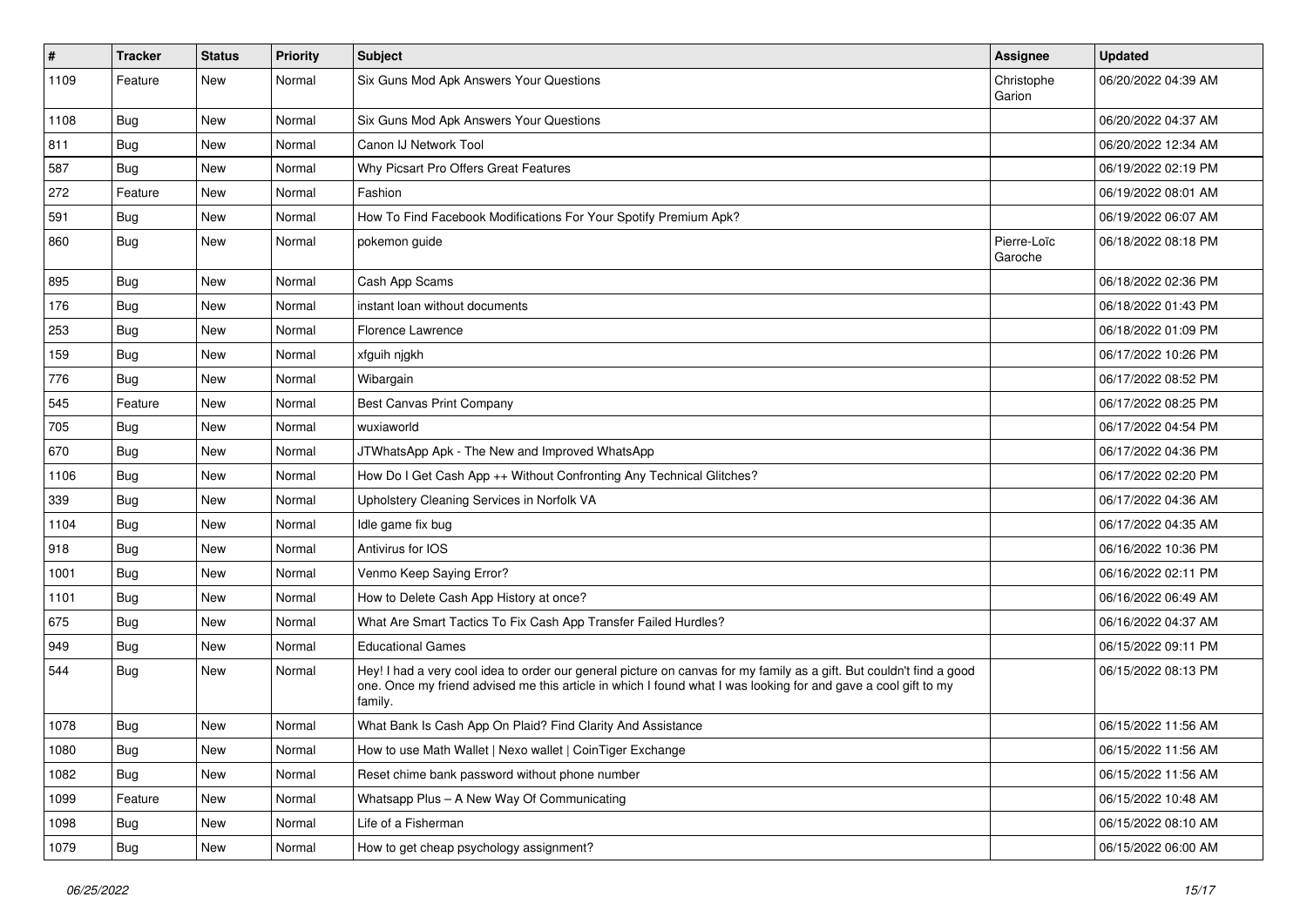| $\vert$ # | Tracker    | <b>Status</b> | <b>Priority</b> | Subject                                                                                                                                                                                                                                           | Assignee               | <b>Updated</b>      |
|-----------|------------|---------------|-----------------|---------------------------------------------------------------------------------------------------------------------------------------------------------------------------------------------------------------------------------------------------|------------------------|---------------------|
| 1109      | Feature    | New           | Normal          | Six Guns Mod Apk Answers Your Questions                                                                                                                                                                                                           | Christophe<br>Garion   | 06/20/2022 04:39 AM |
| 1108      | <b>Bug</b> | New           | Normal          | Six Guns Mod Apk Answers Your Questions                                                                                                                                                                                                           |                        | 06/20/2022 04:37 AM |
| 811       | Bug        | New           | Normal          | Canon IJ Network Tool                                                                                                                                                                                                                             |                        | 06/20/2022 12:34 AM |
| 587       | Bug        | New           | Normal          | Why Picsart Pro Offers Great Features                                                                                                                                                                                                             |                        | 06/19/2022 02:19 PM |
| 272       | Feature    | New           | Normal          | Fashion                                                                                                                                                                                                                                           |                        | 06/19/2022 08:01 AM |
| 591       | <b>Bug</b> | New           | Normal          | How To Find Facebook Modifications For Your Spotify Premium Apk?                                                                                                                                                                                  |                        | 06/19/2022 06:07 AM |
| 860       | Bug        | New           | Normal          | pokemon quide                                                                                                                                                                                                                                     | Pierre-Loïc<br>Garoche | 06/18/2022 08:18 PM |
| 895       | <b>Bug</b> | New           | Normal          | Cash App Scams                                                                                                                                                                                                                                    |                        | 06/18/2022 02:36 PM |
| 176       | Bug        | New           | Normal          | instant loan without documents                                                                                                                                                                                                                    |                        | 06/18/2022 01:43 PM |
| 253       | <b>Bug</b> | New           | Normal          | <b>Florence Lawrence</b>                                                                                                                                                                                                                          |                        | 06/18/2022 01:09 PM |
| 159       | <b>Bug</b> | New           | Normal          | xfguih njgkh                                                                                                                                                                                                                                      |                        | 06/17/2022 10:26 PM |
| 776       | Bug        | New           | Normal          | Wibargain                                                                                                                                                                                                                                         |                        | 06/17/2022 08:52 PM |
| 545       | Feature    | New           | Normal          | Best Canvas Print Company                                                                                                                                                                                                                         |                        | 06/17/2022 08:25 PM |
| 705       | Bug        | New           | Normal          | wuxiaworld                                                                                                                                                                                                                                        |                        | 06/17/2022 04:54 PM |
| 670       | Bug        | New           | Normal          | JTWhatsApp Apk - The New and Improved WhatsApp                                                                                                                                                                                                    |                        | 06/17/2022 04:36 PM |
| 1106      | Bug        | New           | Normal          | How Do I Get Cash App ++ Without Confronting Any Technical Glitches?                                                                                                                                                                              |                        | 06/17/2022 02:20 PM |
| 339       | <b>Bug</b> | New           | Normal          | Upholstery Cleaning Services in Norfolk VA                                                                                                                                                                                                        |                        | 06/17/2022 04:36 AM |
| 1104      | Bug        | New           | Normal          | Idle game fix bug                                                                                                                                                                                                                                 |                        | 06/17/2022 04:35 AM |
| 918       | Bug        | New           | Normal          | Antivirus for IOS                                                                                                                                                                                                                                 |                        | 06/16/2022 10:36 PM |
| 1001      | <b>Bug</b> | New           | Normal          | Venmo Keep Saying Error?                                                                                                                                                                                                                          |                        | 06/16/2022 02:11 PM |
| 1101      | <b>Bug</b> | New           | Normal          | How to Delete Cash App History at once?                                                                                                                                                                                                           |                        | 06/16/2022 06:49 AM |
| 675       | <b>Bug</b> | New           | Normal          | What Are Smart Tactics To Fix Cash App Transfer Failed Hurdles?                                                                                                                                                                                   |                        | 06/16/2022 04:37 AM |
| 949       | <b>Bug</b> | New           | Normal          | <b>Educational Games</b>                                                                                                                                                                                                                          |                        | 06/15/2022 09:11 PM |
| 544       | Bug        | New           | Normal          | Hey! I had a very cool idea to order our general picture on canvas for my family as a gift. But couldn't find a good<br>one. Once my friend advised me this article in which I found what I was looking for and gave a cool gift to my<br>family. |                        | 06/15/2022 08:13 PM |
| 1078      | Bug        | New           | Normal          | What Bank Is Cash App On Plaid? Find Clarity And Assistance                                                                                                                                                                                       |                        | 06/15/2022 11:56 AM |
| 1080      | <b>Bug</b> | New           | Normal          | How to use Math Wallet   Nexo wallet   CoinTiger Exchange                                                                                                                                                                                         |                        | 06/15/2022 11:56 AM |
| 1082      | Bug        | New           | Normal          | Reset chime bank password without phone number                                                                                                                                                                                                    |                        | 06/15/2022 11:56 AM |
| 1099      | Feature    | New           | Normal          | Whatsapp Plus - A New Way Of Communicating                                                                                                                                                                                                        |                        | 06/15/2022 10:48 AM |
| 1098      | Bug        | New           | Normal          | Life of a Fisherman                                                                                                                                                                                                                               |                        | 06/15/2022 08:10 AM |
| 1079      | Bug        | New           | Normal          | How to get cheap psychology assignment?                                                                                                                                                                                                           |                        | 06/15/2022 06:00 AM |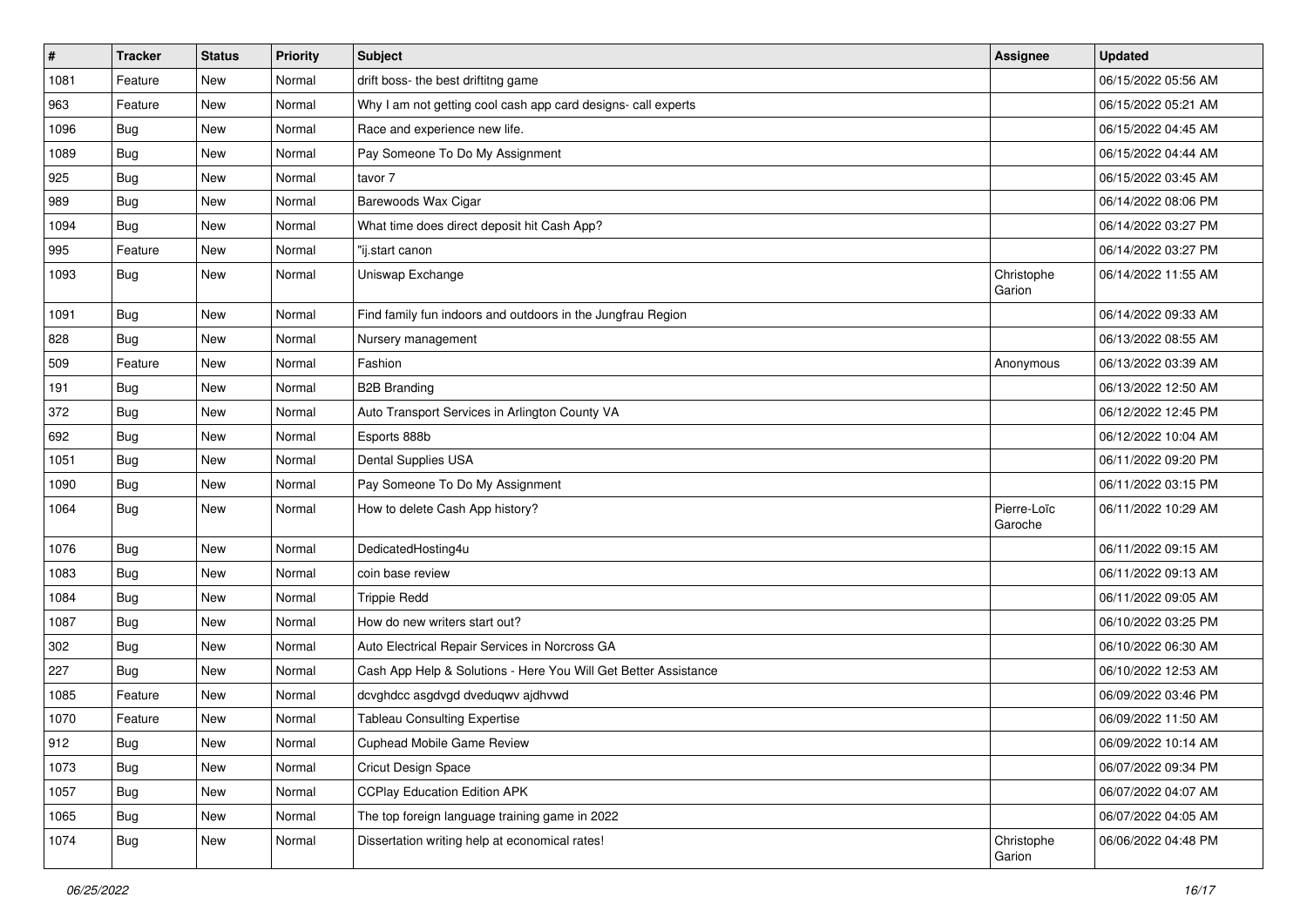| $\sharp$ | <b>Tracker</b> | <b>Status</b> | <b>Priority</b> | Subject                                                         | <b>Assignee</b>        | <b>Updated</b>      |
|----------|----------------|---------------|-----------------|-----------------------------------------------------------------|------------------------|---------------------|
| 1081     | Feature        | New           | Normal          | drift boss- the best driftitng game                             |                        | 06/15/2022 05:56 AM |
| 963      | Feature        | New           | Normal          | Why I am not getting cool cash app card designs- call experts   |                        | 06/15/2022 05:21 AM |
| 1096     | Bug            | New           | Normal          | Race and experience new life.                                   |                        | 06/15/2022 04:45 AM |
| 1089     | <b>Bug</b>     | New           | Normal          | Pay Someone To Do My Assignment                                 |                        | 06/15/2022 04:44 AM |
| 925      | Bug            | New           | Normal          | tavor 7                                                         |                        | 06/15/2022 03:45 AM |
| 989      | Bug            | New           | Normal          | Barewoods Wax Cigar                                             |                        | 06/14/2022 08:06 PM |
| 1094     | <b>Bug</b>     | New           | Normal          | What time does direct deposit hit Cash App?                     |                        | 06/14/2022 03:27 PM |
| 995      | Feature        | New           | Normal          | "ij.start canon                                                 |                        | 06/14/2022 03:27 PM |
| 1093     | <b>Bug</b>     | New           | Normal          | Uniswap Exchange                                                | Christophe<br>Garion   | 06/14/2022 11:55 AM |
| 1091     | Bug            | New           | Normal          | Find family fun indoors and outdoors in the Jungfrau Region     |                        | 06/14/2022 09:33 AM |
| 828      | <b>Bug</b>     | New           | Normal          | Nursery management                                              |                        | 06/13/2022 08:55 AM |
| 509      | Feature        | New           | Normal          | Fashion                                                         | Anonymous              | 06/13/2022 03:39 AM |
| 191      | <b>Bug</b>     | New           | Normal          | <b>B2B Branding</b>                                             |                        | 06/13/2022 12:50 AM |
| 372      | <b>Bug</b>     | New           | Normal          | Auto Transport Services in Arlington County VA                  |                        | 06/12/2022 12:45 PM |
| 692      | <b>Bug</b>     | New           | Normal          | Esports 888b                                                    |                        | 06/12/2022 10:04 AM |
| 1051     | <b>Bug</b>     | <b>New</b>    | Normal          | Dental Supplies USA                                             |                        | 06/11/2022 09:20 PM |
| 1090     | Bug            | New           | Normal          | Pay Someone To Do My Assignment                                 |                        | 06/11/2022 03:15 PM |
| 1064     | <b>Bug</b>     | New           | Normal          | How to delete Cash App history?                                 | Pierre-Loïc<br>Garoche | 06/11/2022 10:29 AM |
| 1076     | Bug            | New           | Normal          | DedicatedHosting4u                                              |                        | 06/11/2022 09:15 AM |
| 1083     | <b>Bug</b>     | New           | Normal          | coin base review                                                |                        | 06/11/2022 09:13 AM |
| 1084     | <b>Bug</b>     | New           | Normal          | <b>Trippie Redd</b>                                             |                        | 06/11/2022 09:05 AM |
| 1087     | <b>Bug</b>     | New           | Normal          | How do new writers start out?                                   |                        | 06/10/2022 03:25 PM |
| 302      | <b>Bug</b>     | New           | Normal          | Auto Electrical Repair Services in Norcross GA                  |                        | 06/10/2022 06:30 AM |
| 227      | Bug            | New           | Normal          | Cash App Help & Solutions - Here You Will Get Better Assistance |                        | 06/10/2022 12:53 AM |
| 1085     | Feature        | New           | Normal          | dcvghdcc asgdvgd dveduqwv ajdhvwd                               |                        | 06/09/2022 03:46 PM |
| 1070     | Feature        | New           | Normal          | <b>Tableau Consulting Expertise</b>                             |                        | 06/09/2022 11:50 AM |
| 912      | Bug            | New           | Normal          | <b>Cuphead Mobile Game Review</b>                               |                        | 06/09/2022 10:14 AM |
| 1073     | <b>Bug</b>     | New           | Normal          | Cricut Design Space                                             |                        | 06/07/2022 09:34 PM |
| 1057     | <b>Bug</b>     | New           | Normal          | <b>CCPlay Education Edition APK</b>                             |                        | 06/07/2022 04:07 AM |
| 1065     | Bug            | New           | Normal          | The top foreign language training game in 2022                  |                        | 06/07/2022 04:05 AM |
| 1074     | Bug            | New           | Normal          | Dissertation writing help at economical rates!                  | Christophe<br>Garion   | 06/06/2022 04:48 PM |